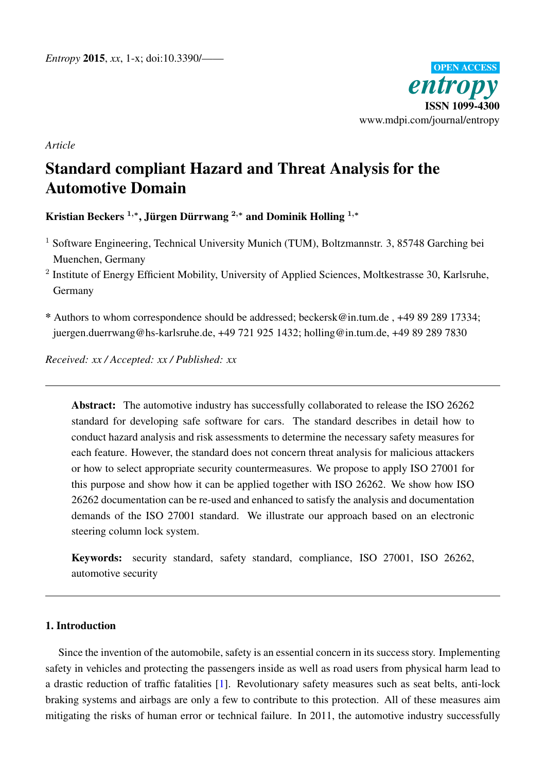

*Article*

# Standard compliant Hazard and Threat Analysis for the Automotive Domain

Kristian Beckers  $^{1,\ast},$  Jürgen Dürrwang  $^{2,\ast}$  and Dominik Holling  $^{1,\ast}$ 

- <sup>1</sup> Software Engineering, Technical University Munich (TUM), Boltzmannstr. 3, 85748 Garching bei Muenchen, Germany
- <sup>2</sup> Institute of Energy Efficient Mobility, University of Applied Sciences, Moltkestrasse 30, Karlsruhe, Germany
- \* Authors to whom correspondence should be addressed; beckersk@in.tum.de , +49 89 289 17334; juergen.duerrwang@hs-karlsruhe.de, +49 721 925 1432; holling@in.tum.de, +49 89 289 7830

*Received: xx / Accepted: xx / Published: xx*

Abstract: The automotive industry has successfully collaborated to release the ISO 26262 standard for developing safe software for cars. The standard describes in detail how to conduct hazard analysis and risk assessments to determine the necessary safety measures for each feature. However, the standard does not concern threat analysis for malicious attackers or how to select appropriate security countermeasures. We propose to apply ISO 27001 for this purpose and show how it can be applied together with ISO 26262. We show how ISO 26262 documentation can be re-used and enhanced to satisfy the analysis and documentation demands of the ISO 27001 standard. We illustrate our approach based on an electronic steering column lock system.

Keywords: security standard, safety standard, compliance, ISO 27001, ISO 26262, automotive security

# 1. Introduction

Since the invention of the automobile, safety is an essential concern in its success story. Implementing safety in vehicles and protecting the passengers inside as well as road users from physical harm lead to a drastic reduction of traffic fatalities [\[1\]](#page-37-0). Revolutionary safety measures such as seat belts, anti-lock braking systems and airbags are only a few to contribute to this protection. All of these measures aim mitigating the risks of human error or technical failure. In 2011, the automotive industry successfully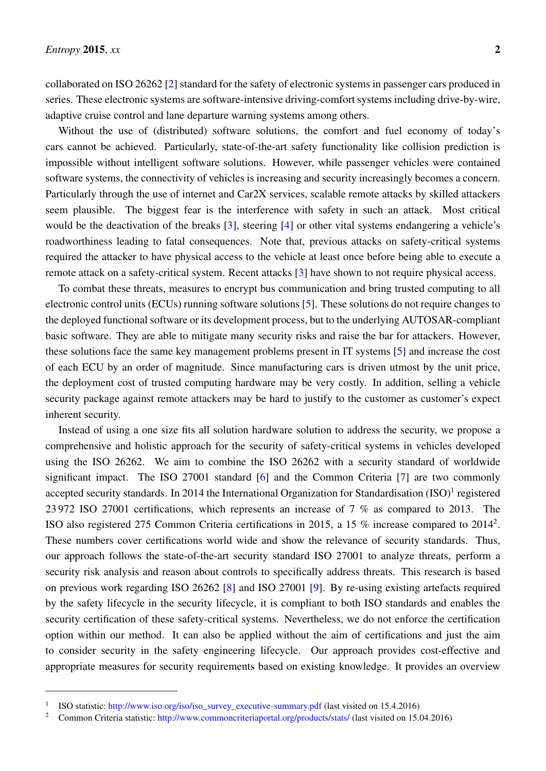collaborated on ISO 26262 [\[2\]](#page-37-1) standard for the safety of electronic systems in passenger cars produced in series. These electronic systems are software-intensive driving-comfort systems including drive-by-wire, adaptive cruise control and lane departure warning systems among others.

Without the use of (distributed) software solutions, the comfort and fuel economy of today's cars cannot be achieved. Particularly, state-of-the-art safety functionality like collision prediction is impossible without intelligent software solutions. However, while passenger vehicles were contained software systems, the connectivity of vehicles is increasing and security increasingly becomes a concern. Particularly through the use of internet and Car2X services, scalable remote attacks by skilled attackers seem plausible. The biggest fear is the interference with safety in such an attack. Most critical would be the deactivation of the breaks [\[3\]](#page-37-2), steering [\[4\]](#page-37-3) or other vital systems endangering a vehicle's roadworthiness leading to fatal consequences. Note that, previous attacks on safety-critical systems required the attacker to have physical access to the vehicle at least once before being able to execute a remote attack on a safety-critical system. Recent attacks [\[3\]](#page-37-2) have shown to not require physical access.

To combat these threats, measures to encrypt bus communication and bring trusted computing to all electronic control units (ECUs) running software solutions [\[5\]](#page-37-4). These solutions do not require changes to the deployed functional software or its development process, but to the underlying AUTOSAR-compliant basic software. They are able to mitigate many security risks and raise the bar for attackers. However, these solutions face the same key management problems present in IT systems [\[5\]](#page-37-4) and increase the cost of each ECU by an order of magnitude. Since manufacturing cars is driven utmost by the unit price, the deployment cost of trusted computing hardware may be very costly. In addition, selling a vehicle security package against remote attackers may be hard to justify to the customer as customer's expect inherent security.

Instead of using a one size fits all solution hardware solution to address the security, we propose a comprehensive and holistic approach for the security of safety-critical systems in vehicles developed using the ISO 26262. We aim to combine the ISO 26262 with a security standard of worldwide significant impact. The ISO 27001 standard [\[6\]](#page-37-5) and the Common Criteria [\[7\]](#page-37-6) are two commonly accepted security standards. In 2014 the International Organization for Standardisation  $(ISO)^1$  registered 23 972 ISO 27001 certifications, which represents an increase of 7 % as compared to 2013. The ISO also registered 275 Common Criteria certifications in 2015, a 15 % increase compared to 2014<sup>2</sup>. These numbers cover certifications world wide and show the relevance of security standards. Thus, our approach follows the state-of-the-art security standard ISO 27001 to analyze threats, perform a security risk analysis and reason about controls to specifically address threats. This research is based on previous work regarding ISO 26262 [\[8\]](#page-37-7) and ISO 27001 [\[9\]](#page-38-0). By re-using existing artefacts required by the safety lifecycle in the security lifecycle, it is compliant to both ISO standards and enables the security certification of these safety-critical systems. Nevertheless, we do not enforce the certification option within our method. It can also be applied without the aim of certifications and just the aim to consider security in the safety engineering lifecycle. Our approach provides cost-effective and appropriate measures for security requirements based on existing knowledge. It provides an overview

<sup>1</sup> ISO statistic: [http://www.iso.org/iso/iso\\_survey\\_executive-summary.pdf](http://www.iso.org/iso/iso_survey_executive-summary.pdf) (last visited on 15.4.2016)

<sup>&</sup>lt;sup>2</sup> Common Criteria statistic: <http://www.commoncriteriaportal.org/products/stats/> (last visited on 15.04.2016)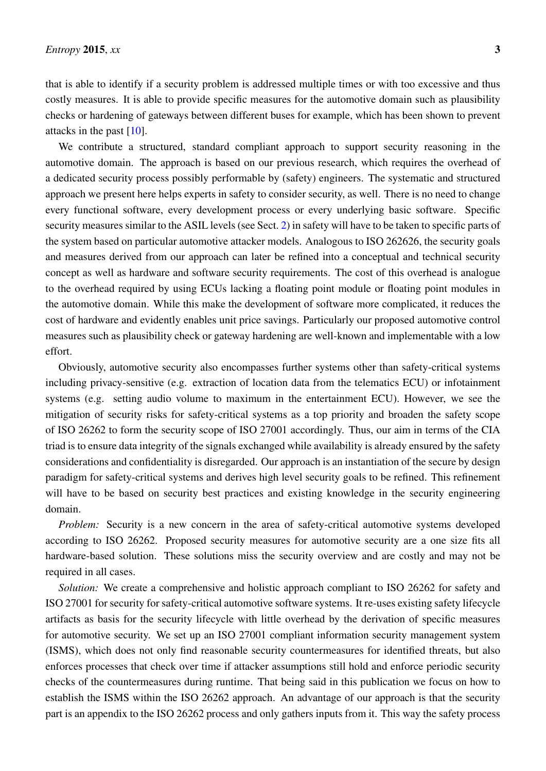that is able to identify if a security problem is addressed multiple times or with too excessive and thus costly measures. It is able to provide specific measures for the automotive domain such as plausibility checks or hardening of gateways between different buses for example, which has been shown to prevent attacks in the past [\[10\]](#page-38-1).

We contribute a structured, standard compliant approach to support security reasoning in the automotive domain. The approach is based on our previous research, which requires the overhead of a dedicated security process possibly performable by (safety) engineers. The systematic and structured approach we present here helps experts in safety to consider security, as well. There is no need to change every functional software, every development process or every underlying basic software. Specific security measures similar to the ASIL levels (see Sect. [2\)](#page-3-0) in safety will have to be taken to specific parts of the system based on particular automotive attacker models. Analogous to ISO 262626, the security goals and measures derived from our approach can later be refined into a conceptual and technical security concept as well as hardware and software security requirements. The cost of this overhead is analogue to the overhead required by using ECUs lacking a floating point module or floating point modules in the automotive domain. While this make the development of software more complicated, it reduces the cost of hardware and evidently enables unit price savings. Particularly our proposed automotive control measures such as plausibility check or gateway hardening are well-known and implementable with a low effort.

Obviously, automotive security also encompasses further systems other than safety-critical systems including privacy-sensitive (e.g. extraction of location data from the telematics ECU) or infotainment systems (e.g. setting audio volume to maximum in the entertainment ECU). However, we see the mitigation of security risks for safety-critical systems as a top priority and broaden the safety scope of ISO 26262 to form the security scope of ISO 27001 accordingly. Thus, our aim in terms of the CIA triad is to ensure data integrity of the signals exchanged while availability is already ensured by the safety considerations and confidentiality is disregarded. Our approach is an instantiation of the secure by design paradigm for safety-critical systems and derives high level security goals to be refined. This refinement will have to be based on security best practices and existing knowledge in the security engineering domain.

*Problem:* Security is a new concern in the area of safety-critical automotive systems developed according to ISO 26262. Proposed security measures for automotive security are a one size fits all hardware-based solution. These solutions miss the security overview and are costly and may not be required in all cases.

*Solution:* We create a comprehensive and holistic approach compliant to ISO 26262 for safety and ISO 27001 for security for safety-critical automotive software systems. It re-uses existing safety lifecycle artifacts as basis for the security lifecycle with little overhead by the derivation of specific measures for automotive security. We set up an ISO 27001 compliant information security management system (ISMS), which does not only find reasonable security countermeasures for identified threats, but also enforces processes that check over time if attacker assumptions still hold and enforce periodic security checks of the countermeasures during runtime. That being said in this publication we focus on how to establish the ISMS within the ISO 26262 approach. An advantage of our approach is that the security part is an appendix to the ISO 26262 process and only gathers inputs from it. This way the safety process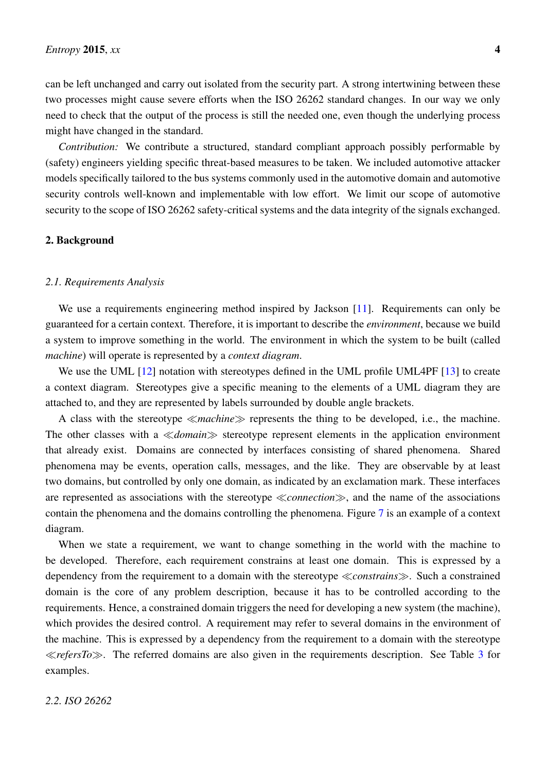can be left unchanged and carry out isolated from the security part. A strong intertwining between these two processes might cause severe efforts when the ISO 26262 standard changes. In our way we only need to check that the output of the process is still the needed one, even though the underlying process might have changed in the standard.

*Contribution:* We contribute a structured, standard compliant approach possibly performable by (safety) engineers yielding specific threat-based measures to be taken. We included automotive attacker models specifically tailored to the bus systems commonly used in the automotive domain and automotive security controls well-known and implementable with low effort. We limit our scope of automotive security to the scope of ISO 26262 safety-critical systems and the data integrity of the signals exchanged.

# <span id="page-3-0"></span>2. Background

#### <span id="page-3-1"></span>*2.1. Requirements Analysis*

We use a requirements engineering method inspired by Jackson [\[11\]](#page-38-2). Requirements can only be guaranteed for a certain context. Therefore, it is important to describe the *environment*, because we build a system to improve something in the world. The environment in which the system to be built (called *machine*) will operate is represented by a *context diagram*.

We use the UML [\[12\]](#page-38-3) notation with stereotypes defined in the UML profile UML4PF [\[13\]](#page-38-4) to create a context diagram. Stereotypes give a specific meaning to the elements of a UML diagram they are attached to, and they are represented by labels surrounded by double angle brackets.

A class with the stereotype  $\ll$  *machine*  $\gg$  represents the thing to be developed, i.e., the machine. The other classes with a  $\ll$ *domain* $\gg$  stereotype represent elements in the application environment that already exist. Domains are connected by interfaces consisting of shared phenomena. Shared phenomena may be events, operation calls, messages, and the like. They are observable by at least two domains, but controlled by only one domain, as indicated by an exclamation mark. These interfaces are represented as associations with the stereotype  $\ll$ *connection* $\gg$ , and the name of the associations contain the phenomena and the domains controlling the phenomena. Figure [7](#page-18-0) is an example of a context diagram.

When we state a requirement, we want to change something in the world with the machine to be developed. Therefore, each requirement constrains at least one domain. This is expressed by a dependency from the requirement to a domain with the stereotype *constrains*. Such a constrained domain is the core of any problem description, because it has to be controlled according to the requirements. Hence, a constrained domain triggers the need for developing a new system (the machine), which provides the desired control. A requirement may refer to several domains in the environment of the machine. This is expressed by a dependency from the requirement to a domain with the stereotype  $\ll$ *refersTo*. The referred domains are also given in the requirements description. See Table [3](#page-19-0) for examples.

#### *2.2. ISO 26262*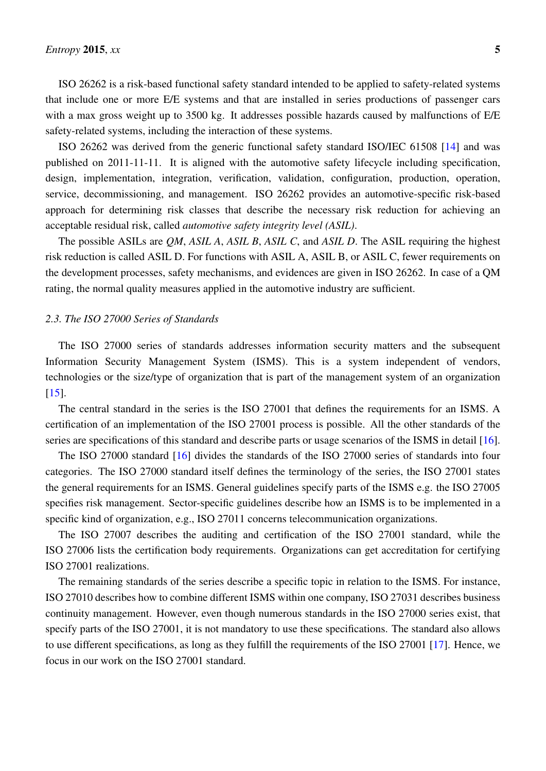ISO 26262 is a risk-based functional safety standard intended to be applied to safety-related systems that include one or more E/E systems and that are installed in series productions of passenger cars with a max gross weight up to 3500 kg. It addresses possible hazards caused by malfunctions of E/E safety-related systems, including the interaction of these systems.

ISO 26262 was derived from the generic functional safety standard ISO/IEC 61508 [\[14\]](#page-38-5) and was published on 2011-11-11. It is aligned with the automotive safety lifecycle including specification, design, implementation, integration, verification, validation, configuration, production, operation, service, decommissioning, and management. ISO 26262 provides an automotive-specific risk-based approach for determining risk classes that describe the necessary risk reduction for achieving an acceptable residual risk, called *automotive safety integrity level (ASIL)*.

The possible ASILs are *QM*, *ASIL A*, *ASIL B*, *ASIL C*, and *ASIL D*. The ASIL requiring the highest risk reduction is called ASIL D. For functions with ASIL A, ASIL B, or ASIL C, fewer requirements on the development processes, safety mechanisms, and evidences are given in ISO 26262. In case of a QM rating, the normal quality measures applied in the automotive industry are sufficient.

## *2.3. The ISO 27000 Series of Standards*

The ISO 27000 series of standards addresses information security matters and the subsequent Information Security Management System (ISMS). This is a system independent of vendors, technologies or the size/type of organization that is part of the management system of an organization [\[15\]](#page-38-6).

The central standard in the series is the ISO 27001 that defines the requirements for an ISMS. A certification of an implementation of the ISO 27001 process is possible. All the other standards of the series are specifications of this standard and describe parts or usage scenarios of the ISMS in detail [\[16\]](#page-38-7).

The ISO 27000 standard [\[16\]](#page-38-7) divides the standards of the ISO 27000 series of standards into four categories. The ISO 27000 standard itself defines the terminology of the series, the ISO 27001 states the general requirements for an ISMS. General guidelines specify parts of the ISMS e.g. the ISO 27005 specifies risk management. Sector-specific guidelines describe how an ISMS is to be implemented in a specific kind of organization, e.g., ISO 27011 concerns telecommunication organizations.

The ISO 27007 describes the auditing and certification of the ISO 27001 standard, while the ISO 27006 lists the certification body requirements. Organizations can get accreditation for certifying ISO 27001 realizations.

The remaining standards of the series describe a specific topic in relation to the ISMS. For instance, ISO 27010 describes how to combine different ISMS within one company, ISO 27031 describes business continuity management. However, even though numerous standards in the ISO 27000 series exist, that specify parts of the ISO 27001, it is not mandatory to use these specifications. The standard also allows to use different specifications, as long as they fulfill the requirements of the ISO 27001 [\[17\]](#page-38-8). Hence, we focus in our work on the ISO 27001 standard.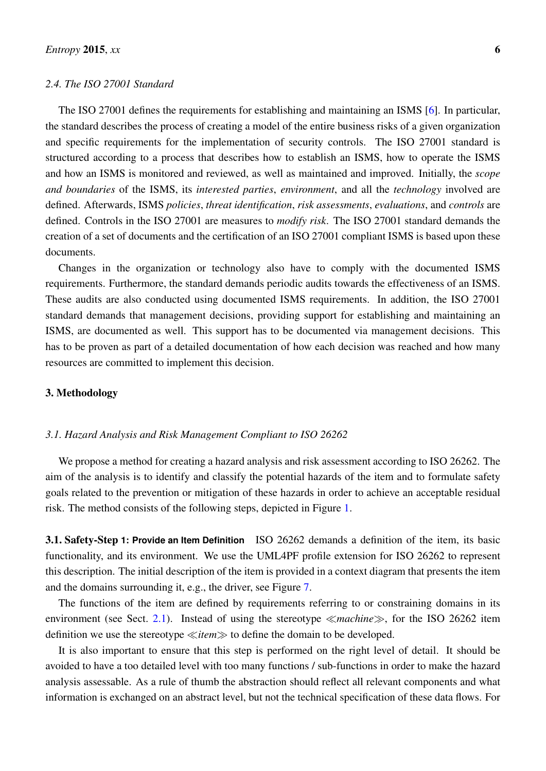#### *2.4. The ISO 27001 Standard*

The ISO 27001 defines the requirements for establishing and maintaining an ISMS [\[6\]](#page-37-5). In particular, the standard describes the process of creating a model of the entire business risks of a given organization and specific requirements for the implementation of security controls. The ISO 27001 standard is structured according to a process that describes how to establish an ISMS, how to operate the ISMS and how an ISMS is monitored and reviewed, as well as maintained and improved. Initially, the *scope and boundaries* of the ISMS, its *interested parties*, *environment*, and all the *technology* involved are defined. Afterwards, ISMS *policies*, *threat identification*, *risk assessments*, *evaluations*, and *controls* are defined. Controls in the ISO 27001 are measures to *modify risk*. The ISO 27001 standard demands the creation of a set of documents and the certification of an ISO 27001 compliant ISMS is based upon these documents.

Changes in the organization or technology also have to comply with the documented ISMS requirements. Furthermore, the standard demands periodic audits towards the effectiveness of an ISMS. These audits are also conducted using documented ISMS requirements. In addition, the ISO 27001 standard demands that management decisions, providing support for establishing and maintaining an ISMS, are documented as well. This support has to be documented via management decisions. This has to be proven as part of a detailed documentation of how each decision was reached and how many resources are committed to implement this decision.

## 3. Methodology

#### *3.1. Hazard Analysis and Risk Management Compliant to ISO 26262*

We propose a method for creating a hazard analysis and risk assessment according to ISO 26262. The aim of the analysis is to identify and classify the potential hazards of the item and to formulate safety goals related to the prevention or mitigation of these hazards in order to achieve an acceptable residual risk. The method consists of the following steps, depicted in Figure [1.](#page-6-0)

3.1. Safety-Step **1: Provide an Item Definition** ISO 26262 demands a definition of the item, its basic functionality, and its environment. We use the UML4PF profile extension for ISO 26262 to represent this description. The initial description of the item is provided in a context diagram that presents the item and the domains surrounding it, e.g., the driver, see Figure [7.](#page-18-0)

The functions of the item are defined by requirements referring to or constraining domains in its environment (see Sect. [2.1\)](#page-3-1). Instead of using the stereotype  $\ll$  machine  $\gg$ , for the ISO 26262 item definition we use the stereotype  $\ll$ *item* $\gg$  to define the domain to be developed.

It is also important to ensure that this step is performed on the right level of detail. It should be avoided to have a too detailed level with too many functions / sub-functions in order to make the hazard analysis assessable. As a rule of thumb the abstraction should reflect all relevant components and what information is exchanged on an abstract level, but not the technical specification of these data flows. For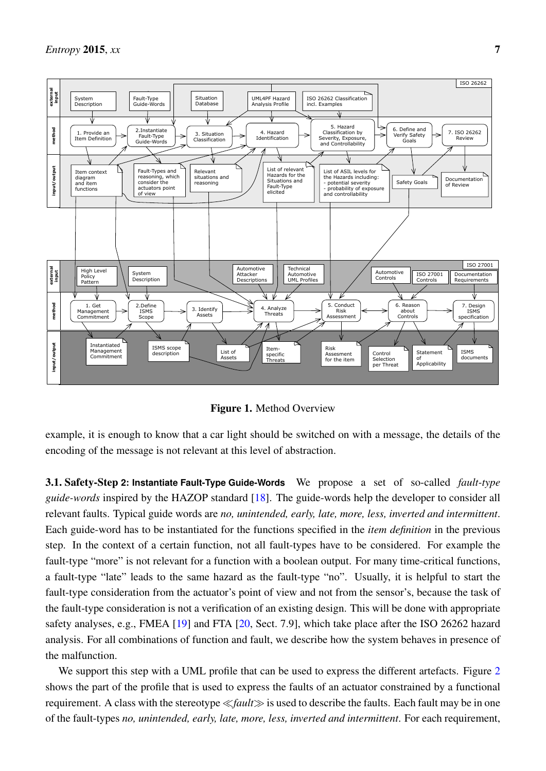<span id="page-6-0"></span>

Figure 1. Method Overview

example, it is enough to know that a car light should be switched on with a message, the details of the encoding of the message is not relevant at this level of abstraction.

3.1. Safety-Step **2: Instantiate Fault-Type Guide-Words** We propose a set of so-called *fault-type guide-words* inspired by the HAZOP standard [\[18\]](#page-38-9). The guide-words help the developer to consider all relevant faults. Typical guide words are *no, unintended, early, late, more, less, inverted and intermittent*. Each guide-word has to be instantiated for the functions specified in the *item definition* in the previous step. In the context of a certain function, not all fault-types have to be considered. For example the fault-type "more" is not relevant for a function with a boolean output. For many time-critical functions, a fault-type "late" leads to the same hazard as the fault-type "no". Usually, it is helpful to start the fault-type consideration from the actuator's point of view and not from the sensor's, because the task of the fault-type consideration is not a verification of an existing design. This will be done with appropriate safety analyses, e.g., FMEA [\[19\]](#page-38-10) and FTA [\[20,](#page-38-11) Sect. 7.9], which take place after the ISO 26262 hazard analysis. For all combinations of function and fault, we describe how the system behaves in presence of the malfunction.

We support this step with a UML profile that can be used to express the different artefacts. Figure [2](#page-7-0) shows the part of the profile that is used to express the faults of an actuator constrained by a functional requirement. A class with the stereotype  $\ll$  *fault* $\gg$  is used to describe the faults. Each fault may be in one of the fault-types *no, unintended, early, late, more, less, inverted and intermittent*. For each requirement,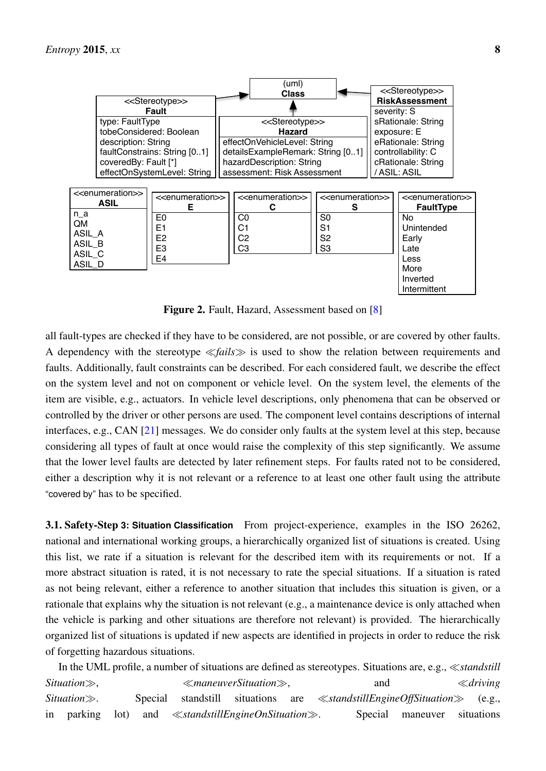<span id="page-7-0"></span>

Figure 2. Fault, Hazard, Assessment based on [\[8\]](#page-37-7)

all fault-types are checked if they have to be considered, are not possible, or are covered by other faults. A dependency with the stereotype  $\ll$  *fails*  $\gg$  is used to show the relation between requirements and faults. Additionally, fault constraints can be described. For each considered fault, we describe the effect on the system level and not on component or vehicle level. On the system level, the elements of the item are visible, e.g., actuators. In vehicle level descriptions, only phenomena that can be observed or controlled by the driver or other persons are used. The component level contains descriptions of internal interfaces, e.g., CAN [\[21\]](#page-38-12) messages. We do consider only faults at the system level at this step, because considering all types of fault at once would raise the complexity of this step significantly. We assume that the lower level faults are detected by later refinement steps. For faults rated not to be considered, either a description why it is not relevant or a reference to at least one other fault using the attribute "covered by" has to be specified.

3.1. Safety-Step **3: Situation Classification** From project-experience, examples in the ISO 26262, national and international working groups, a hierarchically organized list of situations is created. Using this list, we rate if a situation is relevant for the described item with its requirements or not. If a more abstract situation is rated, it is not necessary to rate the special situations. If a situation is rated as not being relevant, either a reference to another situation that includes this situation is given, or a rationale that explains why the situation is not relevant (e.g., a maintenance device is only attached when the vehicle is parking and other situations are therefore not relevant) is provided. The hierarchically organized list of situations is updated if new aspects are identified in projects in order to reduce the risk of forgetting hazardous situations.

In the UML profile, a number of situations are defined as stereotypes. Situations are, e.g.,  $\ll$ standstill *Situation*, *maneuverSituation*, and *driving Situation*. Special standstill situations are *standstillEngineOffSituation* (e.g., in parking lot) and *«standstillEngineOnSituation*». Special maneuver situations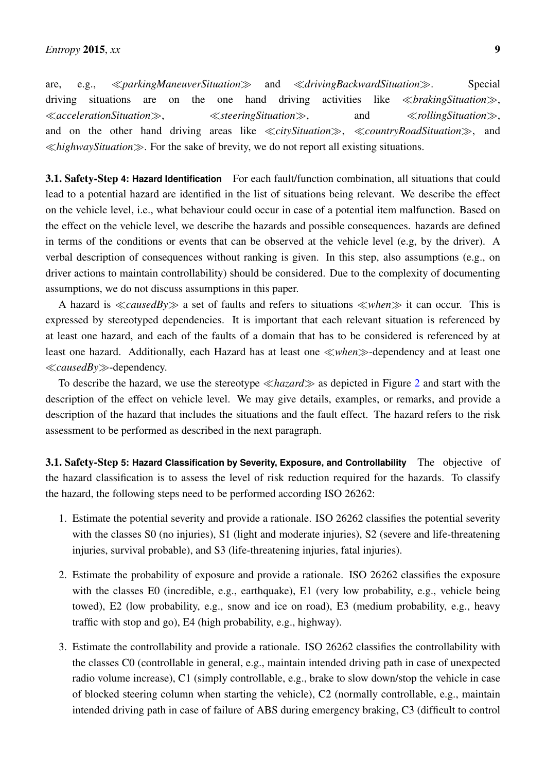are, e.g.,  $\ll$  *parking Maneuver Situation* and  $\ll$  *driving Backward Situation*. Special driving situations are on the one hand driving activities like  $\ll$ *brakingSituation* $\gg$ . *accelerationSituation*, *steeringSituation*, and *rollingSituation*, and on the other hand driving areas like *«citySituation»*, *«countryRoadSituation»*, and  $\ll$ highwaySituation $\gg$ . For the sake of brevity, we do not report all existing situations.

3.1. Safety-Step **4: Hazard Identification** For each fault/function combination, all situations that could lead to a potential hazard are identified in the list of situations being relevant. We describe the effect on the vehicle level, i.e., what behaviour could occur in case of a potential item malfunction. Based on the effect on the vehicle level, we describe the hazards and possible consequences. hazards are defined in terms of the conditions or events that can be observed at the vehicle level (e.g, by the driver). A verbal description of consequences without ranking is given. In this step, also assumptions (e.g., on driver actions to maintain controllability) should be considered. Due to the complexity of documenting assumptions, we do not discuss assumptions in this paper.

A hazard is  $\langle \langle \langle \rangle \rangle$  a set of faults and refers to situations  $\langle \langle \rangle \rangle$  it can occur. This is expressed by stereotyped dependencies. It is important that each relevant situation is referenced by at least one hazard, and each of the faults of a domain that has to be considered is referenced by at least one hazard. Additionally, each Hazard has at least one  $\ll$ when $\gg$ -dependency and at least one *causedBy*-dependency.

To describe the hazard, we use the stereotype  $\ll$  hazard $\gg$  as depicted in Figure [2](#page-7-0) and start with the description of the effect on vehicle level. We may give details, examples, or remarks, and provide a description of the hazard that includes the situations and the fault effect. The hazard refers to the risk assessment to be performed as described in the next paragraph.

3.1. Safety-Step **5: Hazard Classification by Severity, Exposure, and Controllability** The objective of the hazard classification is to assess the level of risk reduction required for the hazards. To classify the hazard, the following steps need to be performed according ISO 26262:

- 1. Estimate the potential severity and provide a rationale. ISO 26262 classifies the potential severity with the classes S0 (no injuries), S1 (light and moderate injuries), S2 (severe and life-threatening injuries, survival probable), and S3 (life-threatening injuries, fatal injuries).
- 2. Estimate the probability of exposure and provide a rationale. ISO 26262 classifies the exposure with the classes E0 (incredible, e.g., earthquake), E1 (very low probability, e.g., vehicle being towed), E2 (low probability, e.g., snow and ice on road), E3 (medium probability, e.g., heavy traffic with stop and go), E4 (high probability, e.g., highway).
- 3. Estimate the controllability and provide a rationale. ISO 26262 classifies the controllability with the classes C0 (controllable in general, e.g., maintain intended driving path in case of unexpected radio volume increase), C1 (simply controllable, e.g., brake to slow down/stop the vehicle in case of blocked steering column when starting the vehicle), C2 (normally controllable, e.g., maintain intended driving path in case of failure of ABS during emergency braking, C3 (difficult to control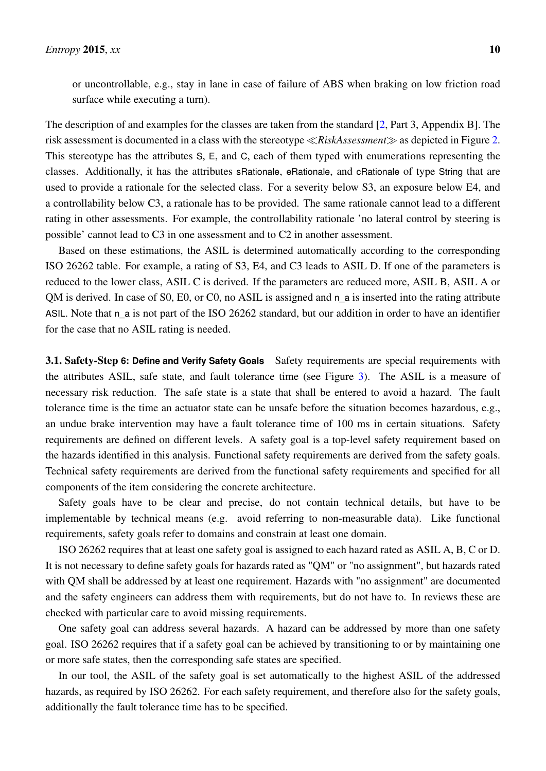The description of and examples for the classes are taken from the standard [\[2,](#page-37-1) Part 3, Appendix B]. The risk assessment is documented in a class with the stereotype  $\ll$  RiskAssessment $\gg$  as depicted in Figure [2.](#page-7-0) This stereotype has the attributes S, E, and C, each of them typed with enumerations representing the classes. Additionally, it has the attributes sRationale, eRationale, and cRationale of type String that are used to provide a rationale for the selected class. For a severity below S3, an exposure below E4, and a controllability below C3, a rationale has to be provided. The same rationale cannot lead to a different rating in other assessments. For example, the controllability rationale 'no lateral control by steering is possible' cannot lead to C3 in one assessment and to C2 in another assessment.

Based on these estimations, the ASIL is determined automatically according to the corresponding ISO 26262 table. For example, a rating of S3, E4, and C3 leads to ASIL D. If one of the parameters is reduced to the lower class, ASIL C is derived. If the parameters are reduced more, ASIL B, ASIL A or QM is derived. In case of S0, E0, or C0, no ASIL is assigned and n a is inserted into the rating attribute ASIL. Note that n\_a is not part of the ISO 26262 standard, but our addition in order to have an identifier for the case that no ASIL rating is needed.

3.1. Safety-Step **6: Define and Verify Safety Goals** Safety requirements are special requirements with the attributes ASIL, safe state, and fault tolerance time (see Figure [3\)](#page-10-0). The ASIL is a measure of necessary risk reduction. The safe state is a state that shall be entered to avoid a hazard. The fault tolerance time is the time an actuator state can be unsafe before the situation becomes hazardous, e.g., an undue brake intervention may have a fault tolerance time of 100 ms in certain situations. Safety requirements are defined on different levels. A safety goal is a top-level safety requirement based on the hazards identified in this analysis. Functional safety requirements are derived from the safety goals. Technical safety requirements are derived from the functional safety requirements and specified for all components of the item considering the concrete architecture.

Safety goals have to be clear and precise, do not contain technical details, but have to be implementable by technical means (e.g. avoid referring to non-measurable data). Like functional requirements, safety goals refer to domains and constrain at least one domain.

ISO 26262 requires that at least one safety goal is assigned to each hazard rated as ASIL A, B, C or D. It is not necessary to define safety goals for hazards rated as "QM" or "no assignment", but hazards rated with QM shall be addressed by at least one requirement. Hazards with "no assignment" are documented and the safety engineers can address them with requirements, but do not have to. In reviews these are checked with particular care to avoid missing requirements.

One safety goal can address several hazards. A hazard can be addressed by more than one safety goal. ISO 26262 requires that if a safety goal can be achieved by transitioning to or by maintaining one or more safe states, then the corresponding safe states are specified.

In our tool, the ASIL of the safety goal is set automatically to the highest ASIL of the addressed hazards, as required by ISO 26262. For each safety requirement, and therefore also for the safety goals, additionally the fault tolerance time has to be specified.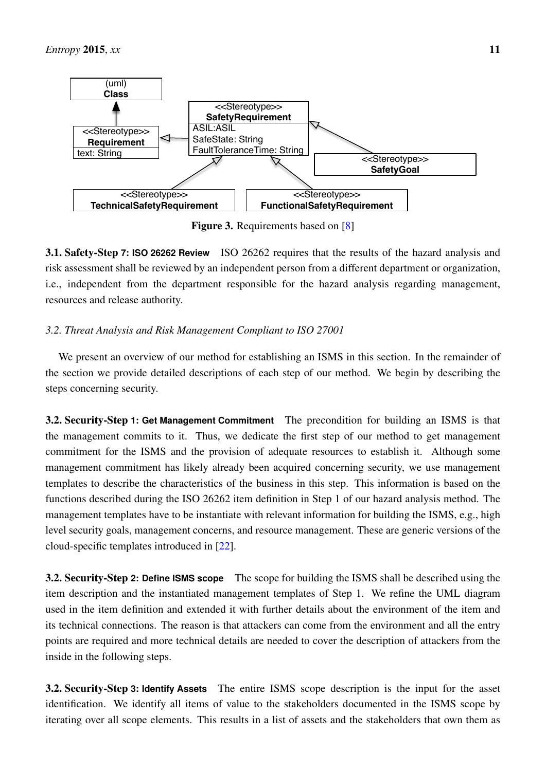<span id="page-10-0"></span>

Figure 3. Requirements based on [\[8\]](#page-37-7)

3.1. Safety-Step **7: ISO 26262 Review** ISO 26262 requires that the results of the hazard analysis and risk assessment shall be reviewed by an independent person from a different department or organization, i.e., independent from the department responsible for the hazard analysis regarding management, resources and release authority.

# *3.2. Threat Analysis and Risk Management Compliant to ISO 27001*

We present an overview of our method for establishing an ISMS in this section. In the remainder of the section we provide detailed descriptions of each step of our method. We begin by describing the steps concerning security.

3.2. Security-Step **1: Get Management Commitment** The precondition for building an ISMS is that the management commits to it. Thus, we dedicate the first step of our method to get management commitment for the ISMS and the provision of adequate resources to establish it. Although some management commitment has likely already been acquired concerning security, we use management templates to describe the characteristics of the business in this step. This information is based on the functions described during the ISO 26262 item definition in Step 1 of our hazard analysis method. The management templates have to be instantiate with relevant information for building the ISMS, e.g., high level security goals, management concerns, and resource management. These are generic versions of the cloud-specific templates introduced in [\[22\]](#page-38-13).

3.2. Security-Step **2: Define ISMS scope** The scope for building the ISMS shall be described using the item description and the instantiated management templates of Step 1. We refine the UML diagram used in the item definition and extended it with further details about the environment of the item and its technical connections. The reason is that attackers can come from the environment and all the entry points are required and more technical details are needed to cover the description of attackers from the inside in the following steps.

3.2. Security-Step **3: Identify Assets** The entire ISMS scope description is the input for the asset identification. We identify all items of value to the stakeholders documented in the ISMS scope by iterating over all scope elements. This results in a list of assets and the stakeholders that own them as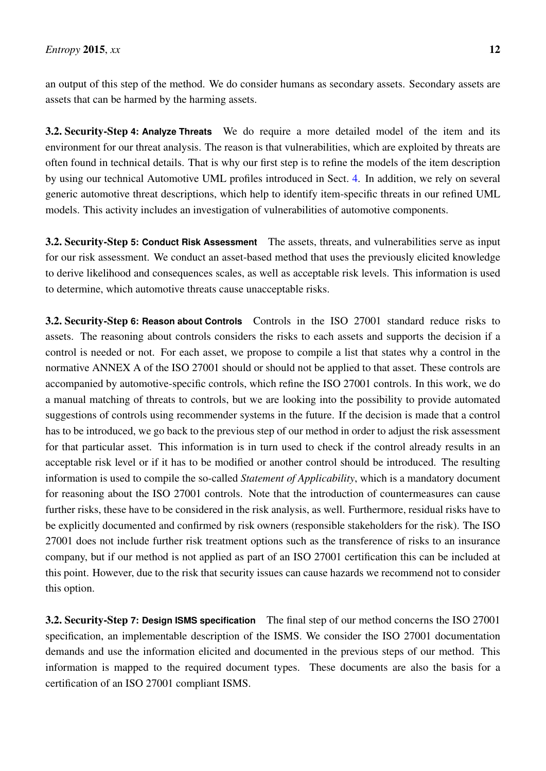an output of this step of the method. We do consider humans as secondary assets. Secondary assets are assets that can be harmed by the harming assets.

3.2. Security-Step **4: Analyze Threats** We do require a more detailed model of the item and its environment for our threat analysis. The reason is that vulnerabilities, which are exploited by threats are often found in technical details. That is why our first step is to refine the models of the item description by using our technical Automotive UML profiles introduced in Sect. [4.](#page-12-0) In addition, we rely on several generic automotive threat descriptions, which help to identify item-specific threats in our refined UML models. This activity includes an investigation of vulnerabilities of automotive components.

3.2. Security-Step **5: Conduct Risk Assessment** The assets, threats, and vulnerabilities serve as input for our risk assessment. We conduct an asset-based method that uses the previously elicited knowledge to derive likelihood and consequences scales, as well as acceptable risk levels. This information is used to determine, which automotive threats cause unacceptable risks.

3.2. Security-Step **6: Reason about Controls** Controls in the ISO 27001 standard reduce risks to assets. The reasoning about controls considers the risks to each assets and supports the decision if a control is needed or not. For each asset, we propose to compile a list that states why a control in the normative ANNEX A of the ISO 27001 should or should not be applied to that asset. These controls are accompanied by automotive-specific controls, which refine the ISO 27001 controls. In this work, we do a manual matching of threats to controls, but we are looking into the possibility to provide automated suggestions of controls using recommender systems in the future. If the decision is made that a control has to be introduced, we go back to the previous step of our method in order to adjust the risk assessment for that particular asset. This information is in turn used to check if the control already results in an acceptable risk level or if it has to be modified or another control should be introduced. The resulting information is used to compile the so-called *Statement of Applicability*, which is a mandatory document for reasoning about the ISO 27001 controls. Note that the introduction of countermeasures can cause further risks, these have to be considered in the risk analysis, as well. Furthermore, residual risks have to be explicitly documented and confirmed by risk owners (responsible stakeholders for the risk). The ISO 27001 does not include further risk treatment options such as the transference of risks to an insurance company, but if our method is not applied as part of an ISO 27001 certification this can be included at this point. However, due to the risk that security issues can cause hazards we recommend not to consider this option.

3.2. Security-Step **7: Design ISMS specification** The final step of our method concerns the ISO 27001 specification, an implementable description of the ISMS. We consider the ISO 27001 documentation demands and use the information elicited and documented in the previous steps of our method. This information is mapped to the required document types. These documents are also the basis for a certification of an ISO 27001 compliant ISMS.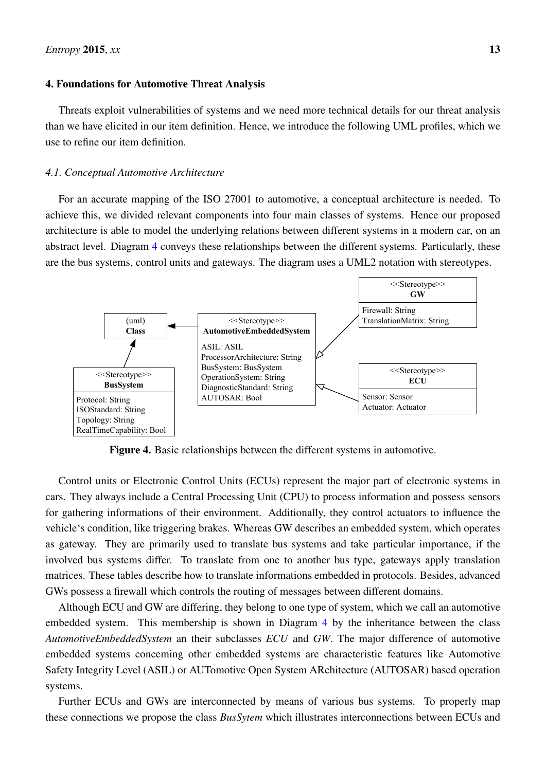#### <span id="page-12-0"></span>4. Foundations for Automotive Threat Analysis

Threats exploit vulnerabilities of systems and we need more technical details for our threat analysis than we have elicited in our item definition. Hence, we introduce the following UML profiles, which we use to refine our item definition.

#### *4.1. Conceptual Automotive Architecture*

For an accurate mapping of the ISO 27001 to automotive, a conceptual architecture is needed. To achieve this, we divided relevant components into four main classes of systems. Hence our proposed architecture is able to model the underlying relations between different systems in a modern car, on an abstract level. Diagram [4](#page-12-1) conveys these relationships between the different systems. Particularly, these are the bus systems, control units and gateways. The diagram uses a UML2 notation with stereotypes.

<span id="page-12-1"></span>

Figure 4. Basic relationships between the different systems in automotive.

Control units or Electronic Control Units (ECUs) represent the major part of electronic systems in cars. They always include a Central Processing Unit (CPU) to process information and possess sensors for gathering informations of their environment. Additionally, they control actuators to influence the vehicle's condition, like triggering brakes. Whereas GW describes an embedded system, which operates as gateway. They are primarily used to translate bus systems and take particular importance, if the involved bus systems differ. To translate from one to another bus type, gateways apply translation matrices. These tables describe how to translate informations embedded in protocols. Besides, advanced GWs possess a firewall which controls the routing of messages between different domains.

Although ECU and GW are differing, they belong to one type of system, which we call an automotive embedded system. This membership is shown in Diagram [4](#page-12-1) by the inheritance between the class *AutomotiveEmbeddedSystem* an their subclasses *ECU* and *GW*. The major difference of automotive embedded systems conceming other embedded systems are characteristic features like Automotive Safety Integrity Level (ASIL) or AUTomotive Open System ARchitecture (AUTOSAR) based operation systems.

Further ECUs and GWs are interconnected by means of various bus systems. To properly map these connections we propose the class *BusSytem* which illustrates interconnections between ECUs and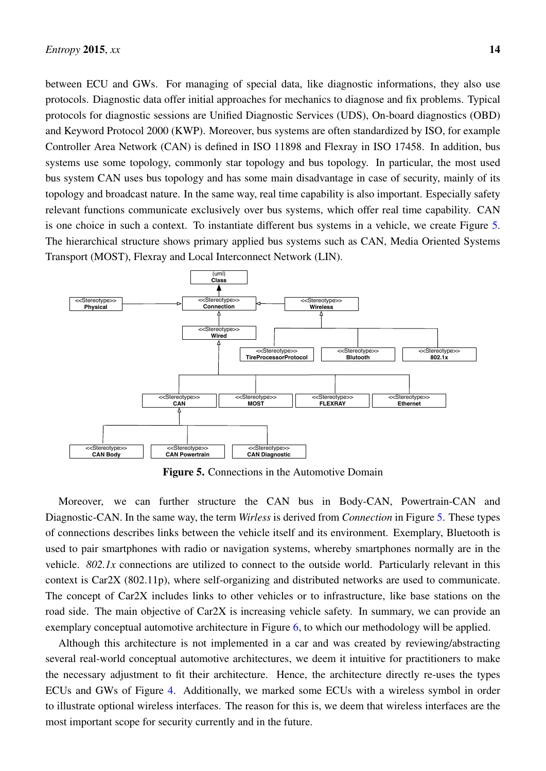between ECU and GWs. For managing of special data, like diagnostic informations, they also use protocols. Diagnostic data offer initial approaches for mechanics to diagnose and fix problems. Typical protocols for diagnostic sessions are Unified Diagnostic Services (UDS), On-board diagnostics (OBD) and Keyword Protocol 2000 (KWP). Moreover, bus systems are often standardized by ISO, for example Controller Area Network (CAN) is defined in ISO 11898 and Flexray in ISO 17458. In addition, bus systems use some topology, commonly star topology and bus topology. In particular, the most used bus system CAN uses bus topology and has some main disadvantage in case of security, mainly of its topology and broadcast nature. In the same way, real time capability is also important. Especially safety relevant functions communicate exclusively over bus systems, which offer real time capability. CAN is one choice in such a context. To instantiate different bus systems in a vehicle, we create Figure [5.](#page-13-0) The hierarchical structure shows primary applied bus systems such as CAN, Media Oriented Systems Transport (MOST), Flexray and Local Interconnect Network (LIN).

<span id="page-13-0"></span>

Figure 5. Connections in the Automotive Domain

Moreover, we can further structure the CAN bus in Body-CAN, Powertrain-CAN and Diagnostic-CAN. In the same way, the term *Wirless* is derived from *Connection* in Figure [5.](#page-13-0) These types of connections describes links between the vehicle itself and its environment. Exemplary, Bluetooth is used to pair smartphones with radio or navigation systems, whereby smartphones normally are in the vehicle. *802.1x* connections are utilized to connect to the outside world. Particularly relevant in this context is Car2X (802.11p), where self-organizing and distributed networks are used to communicate. The concept of Car2X includes links to other vehicles or to infrastructure, like base stations on the road side. The main objective of Car2X is increasing vehicle safety. In summary, we can provide an exemplary conceptual automotive architecture in Figure [6,](#page-14-0) to which our methodology will be applied.

Although this architecture is not implemented in a car and was created by reviewing/abstracting several real-world conceptual automotive architectures, we deem it intuitive for practitioners to make the necessary adjustment to fit their architecture. Hence, the architecture directly re-uses the types ECUs and GWs of Figure [4.](#page-12-1) Additionally, we marked some ECUs with a wireless symbol in order to illustrate optional wireless interfaces. The reason for this is, we deem that wireless interfaces are the most important scope for security currently and in the future.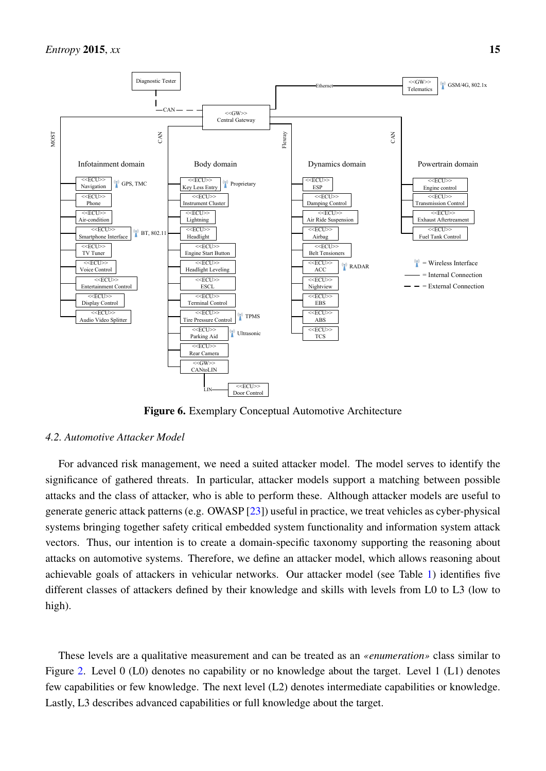<span id="page-14-0"></span>

Figure 6. Exemplary Conceptual Automotive Architecture

## *4.2. Automotive Attacker Model*

For advanced risk management, we need a suited attacker model. The model serves to identify the significance of gathered threats. In particular, attacker models support a matching between possible attacks and the class of attacker, who is able to perform these. Although attacker models are useful to generate generic attack patterns (e.g. OWASP [\[23\]](#page-38-14)) useful in practice, we treat vehicles as cyber-physical systems bringing together safety critical embedded system functionality and information system attack vectors. Thus, our intention is to create a domain-specific taxonomy supporting the reasoning about attacks on automotive systems. Therefore, we define an attacker model, which allows reasoning about achievable goals of attackers in vehicular networks. Our attacker model (see Table [1\)](#page-15-0) identifies five different classes of attackers defined by their knowledge and skills with levels from L0 to L3 (low to high).

These levels are a qualitative measurement and can be treated as an *«enumeration»* class similar to Figure [2.](#page-7-0) Level 0 (L0) denotes no capability or no knowledge about the target. Level 1 (L1) denotes few capabilities or few knowledge. The next level (L2) denotes intermediate capabilities or knowledge. Lastly, L3 describes advanced capabilities or full knowledge about the target.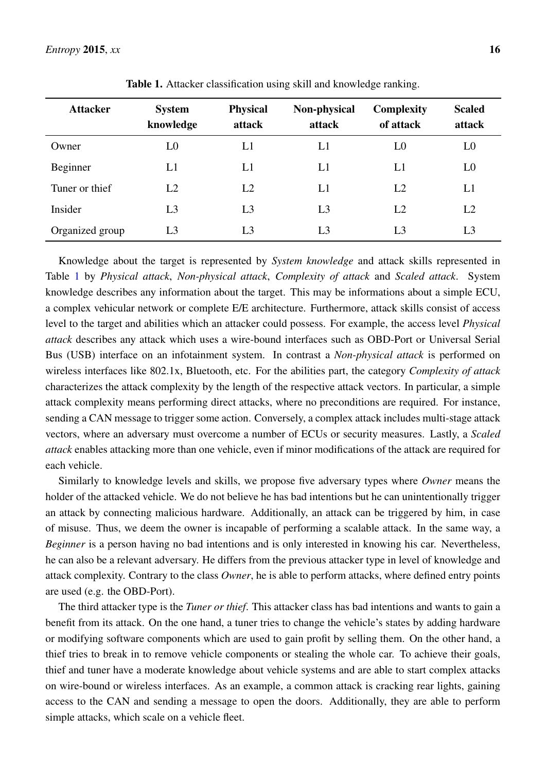<span id="page-15-0"></span>

| <b>Attacker</b> | <b>System</b><br>knowledge | <b>Physical</b><br>attack | Non-physical<br>attack | <b>Complexity</b><br>of attack | <b>Scaled</b><br>attack |
|-----------------|----------------------------|---------------------------|------------------------|--------------------------------|-------------------------|
| Owner           | L0                         | L1                        | L1                     | L <sub>0</sub>                 | L <sub>0</sub>          |
| Beginner        | L1                         | L1                        | L1                     | L1                             | L <sub>0</sub>          |
| Tuner or thief  | L2                         | L2                        | L1                     | L2                             | L1                      |
| Insider         | L <sub>3</sub>             | L <sub>3</sub>            | L <sub>3</sub>         | L2                             | L2                      |
| Organized group | L <sub>3</sub>             | L <sub>3</sub>            | L <sub>3</sub>         | L <sub>3</sub>                 | L3                      |

Table 1. Attacker classification using skill and knowledge ranking.

Knowledge about the target is represented by *System knowledge* and attack skills represented in Table [1](#page-15-0) by *Physical attack*, *Non-physical attack*, *Complexity of attack* and *Scaled attack*. System knowledge describes any information about the target. This may be informations about a simple ECU, a complex vehicular network or complete E/E architecture. Furthermore, attack skills consist of access level to the target and abilities which an attacker could possess. For example, the access level *Physical attack* describes any attack which uses a wire-bound interfaces such as OBD-Port or Universal Serial Bus (USB) interface on an infotainment system. In contrast a *Non-physical attack* is performed on wireless interfaces like 802.1x, Bluetooth, etc. For the abilities part, the category *Complexity of attack* characterizes the attack complexity by the length of the respective attack vectors. In particular, a simple attack complexity means performing direct attacks, where no preconditions are required. For instance, sending a CAN message to trigger some action. Conversely, a complex attack includes multi-stage attack vectors, where an adversary must overcome a number of ECUs or security measures. Lastly, a *Scaled attack* enables attacking more than one vehicle, even if minor modifications of the attack are required for each vehicle.

Similarly to knowledge levels and skills, we propose five adversary types where *Owner* means the holder of the attacked vehicle. We do not believe he has bad intentions but he can unintentionally trigger an attack by connecting malicious hardware. Additionally, an attack can be triggered by him, in case of misuse. Thus, we deem the owner is incapable of performing a scalable attack. In the same way, a *Beginner* is a person having no bad intentions and is only interested in knowing his car. Nevertheless, he can also be a relevant adversary. He differs from the previous attacker type in level of knowledge and attack complexity. Contrary to the class *Owner*, he is able to perform attacks, where defined entry points are used (e.g. the OBD-Port).

The third attacker type is the *Tuner or thief*. This attacker class has bad intentions and wants to gain a benefit from its attack. On the one hand, a tuner tries to change the vehicle's states by adding hardware or modifying software components which are used to gain profit by selling them. On the other hand, a thief tries to break in to remove vehicle components or stealing the whole car. To achieve their goals, thief and tuner have a moderate knowledge about vehicle systems and are able to start complex attacks on wire-bound or wireless interfaces. As an example, a common attack is cracking rear lights, gaining access to the CAN and sending a message to open the doors. Additionally, they are able to perform simple attacks, which scale on a vehicle fleet.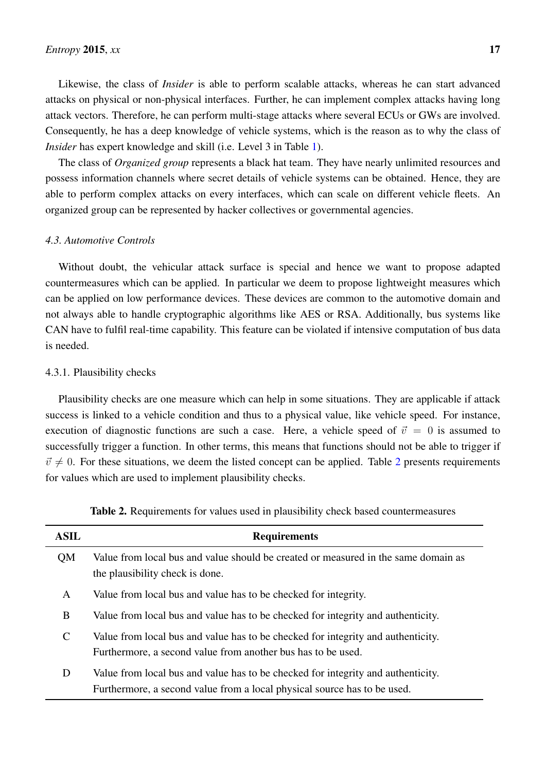Likewise, the class of *Insider* is able to perform scalable attacks, whereas he can start advanced attacks on physical or non-physical interfaces. Further, he can implement complex attacks having long attack vectors. Therefore, he can perform multi-stage attacks where several ECUs or GWs are involved. Consequently, he has a deep knowledge of vehicle systems, which is the reason as to why the class of *Insider* has expert knowledge and skill (i.e. Level 3 in Table [1\)](#page-15-0).

The class of *Organized group* represents a black hat team. They have nearly unlimited resources and possess information channels where secret details of vehicle systems can be obtained. Hence, they are able to perform complex attacks on every interfaces, which can scale on different vehicle fleets. An organized group can be represented by hacker collectives or governmental agencies.

# <span id="page-16-1"></span>*4.3. Automotive Controls*

Without doubt, the vehicular attack surface is special and hence we want to propose adapted countermeasures which can be applied. In particular we deem to propose lightweight measures which can be applied on low performance devices. These devices are common to the automotive domain and not always able to handle cryptographic algorithms like AES or RSA. Additionally, bus systems like CAN have to fulfil real-time capability. This feature can be violated if intensive computation of bus data is needed.

## 4.3.1. Plausibility checks

Plausibility checks are one measure which can help in some situations. They are applicable if attack success is linked to a vehicle condition and thus to a physical value, like vehicle speed. For instance, execution of diagnostic functions are such a case. Here, a vehicle speed of  $\vec{v} = 0$  is assumed to successfully trigger a function. In other terms, this means that functions should not be able to trigger if  $\vec{v} \neq 0$ . For these situations, we deem the listed concept can be applied. Table [2](#page-16-0) presents requirements for values which are used to implement plausibility checks.

|  |  |  |  |  | <b>Table 2.</b> Requirements for values used in plausibility check based countermeasures |
|--|--|--|--|--|------------------------------------------------------------------------------------------|
|--|--|--|--|--|------------------------------------------------------------------------------------------|

<span id="page-16-0"></span>

| <b>ASIL</b> | <b>Requirements</b>                                                                                                                                          |
|-------------|--------------------------------------------------------------------------------------------------------------------------------------------------------------|
| QM          | Value from local bus and value should be created or measured in the same domain as<br>the plausibility check is done.                                        |
| A           | Value from local bus and value has to be checked for integrity.                                                                                              |
| B           | Value from local bus and value has to be checked for integrity and authenticity.                                                                             |
| C           | Value from local bus and value has to be checked for integrity and authenticity.<br>Furthermore, a second value from another bus has to be used.             |
| D           | Value from local bus and value has to be checked for integrity and authenticity.<br>Furthermore, a second value from a local physical source has to be used. |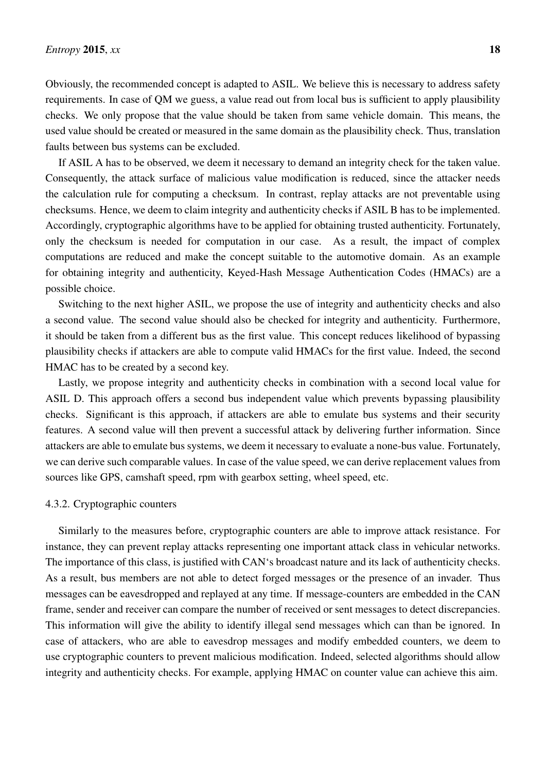Obviously, the recommended concept is adapted to ASIL. We believe this is necessary to address safety requirements. In case of QM we guess, a value read out from local bus is sufficient to apply plausibility checks. We only propose that the value should be taken from same vehicle domain. This means, the used value should be created or measured in the same domain as the plausibility check. Thus, translation faults between bus systems can be excluded.

If ASIL A has to be observed, we deem it necessary to demand an integrity check for the taken value. Consequently, the attack surface of malicious value modification is reduced, since the attacker needs the calculation rule for computing a checksum. In contrast, replay attacks are not preventable using checksums. Hence, we deem to claim integrity and authenticity checks if ASIL B has to be implemented. Accordingly, cryptographic algorithms have to be applied for obtaining trusted authenticity. Fortunately, only the checksum is needed for computation in our case. As a result, the impact of complex computations are reduced and make the concept suitable to the automotive domain. As an example for obtaining integrity and authenticity, Keyed-Hash Message Authentication Codes (HMACs) are a possible choice.

Switching to the next higher ASIL, we propose the use of integrity and authenticity checks and also a second value. The second value should also be checked for integrity and authenticity. Furthermore, it should be taken from a different bus as the first value. This concept reduces likelihood of bypassing plausibility checks if attackers are able to compute valid HMACs for the first value. Indeed, the second HMAC has to be created by a second key.

Lastly, we propose integrity and authenticity checks in combination with a second local value for ASIL D. This approach offers a second bus independent value which prevents bypassing plausibility checks. Significant is this approach, if attackers are able to emulate bus systems and their security features. A second value will then prevent a successful attack by delivering further information. Since attackers are able to emulate bus systems, we deem it necessary to evaluate a none-bus value. Fortunately, we can derive such comparable values. In case of the value speed, we can derive replacement values from sources like GPS, camshaft speed, rpm with gearbox setting, wheel speed, etc.

## 4.3.2. Cryptographic counters

Similarly to the measures before, cryptographic counters are able to improve attack resistance. For instance, they can prevent replay attacks representing one important attack class in vehicular networks. The importance of this class, is justified with CAN's broadcast nature and its lack of authenticity checks. As a result, bus members are not able to detect forged messages or the presence of an invader. Thus messages can be eavesdropped and replayed at any time. If message-counters are embedded in the CAN frame, sender and receiver can compare the number of received or sent messages to detect discrepancies. This information will give the ability to identify illegal send messages which can than be ignored. In case of attackers, who are able to eavesdrop messages and modify embedded counters, we deem to use cryptographic counters to prevent malicious modification. Indeed, selected algorithms should allow integrity and authenticity checks. For example, applying HMAC on counter value can achieve this aim.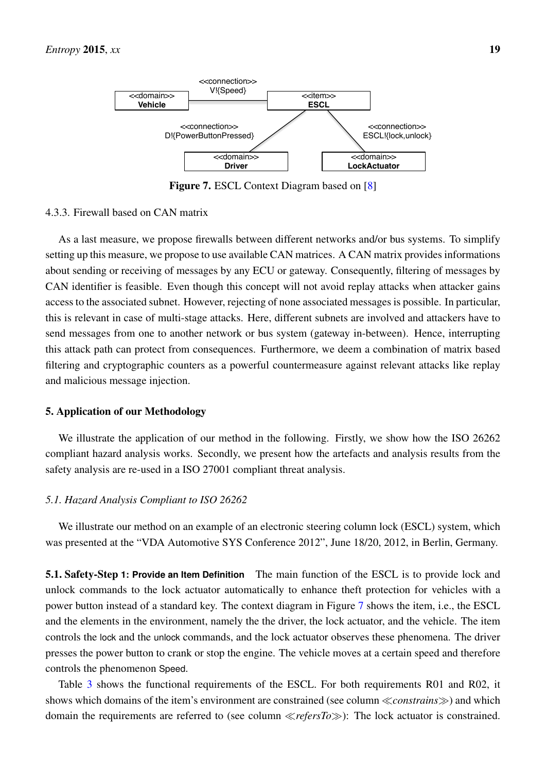<span id="page-18-0"></span>

Figure 7. ESCL Context Diagram based on [\[8\]](#page-37-7)

# 4.3.3. Firewall based on CAN matrix

As a last measure, we propose firewalls between different networks and/or bus systems. To simplify setting up this measure, we propose to use available CAN matrices. A CAN matrix provides informations about sending or receiving of messages by any ECU or gateway. Consequently, filtering of messages by CAN identifier is feasible. Even though this concept will not avoid replay attacks when attacker gains access to the associated subnet. However, rejecting of none associated messages is possible. In particular, this is relevant in case of multi-stage attacks. Here, different subnets are involved and attackers have to send messages from one to another network or bus system (gateway in-between). Hence, interrupting this attack path can protect from consequences. Furthermore, we deem a combination of matrix based filtering and cryptographic counters as a powerful countermeasure against relevant attacks like replay and malicious message injection.

#### 5. Application of our Methodology

We illustrate the application of our method in the following. Firstly, we show how the ISO 26262 compliant hazard analysis works. Secondly, we present how the artefacts and analysis results from the safety analysis are re-used in a ISO 27001 compliant threat analysis.

## *5.1. Hazard Analysis Compliant to ISO 26262*

We illustrate our method on an example of an electronic steering column lock (ESCL) system, which was presented at the "VDA Automotive SYS Conference 2012", June 18/20, 2012, in Berlin, Germany.

5.1. Safety-Step **1: Provide an Item Definition** The main function of the ESCL is to provide lock and unlock commands to the lock actuator automatically to enhance theft protection for vehicles with a power button instead of a standard key. The context diagram in Figure [7](#page-18-0) shows the item, i.e., the ESCL and the elements in the environment, namely the the driver, the lock actuator, and the vehicle. The item controls the lock and the unlock commands, and the lock actuator observes these phenomena. The driver presses the power button to crank or stop the engine. The vehicle moves at a certain speed and therefore controls the phenomenon Speed.

Table [3](#page-19-0) shows the functional requirements of the ESCL. For both requirements R01 and R02, it shows which domains of the item's environment are constrained (see column  $\ll$ *constrains* $\gg$ ) and which domain the requirements are referred to (see column  $\ll$ *refersTo* $\gg$ ): The lock actuator is constrained.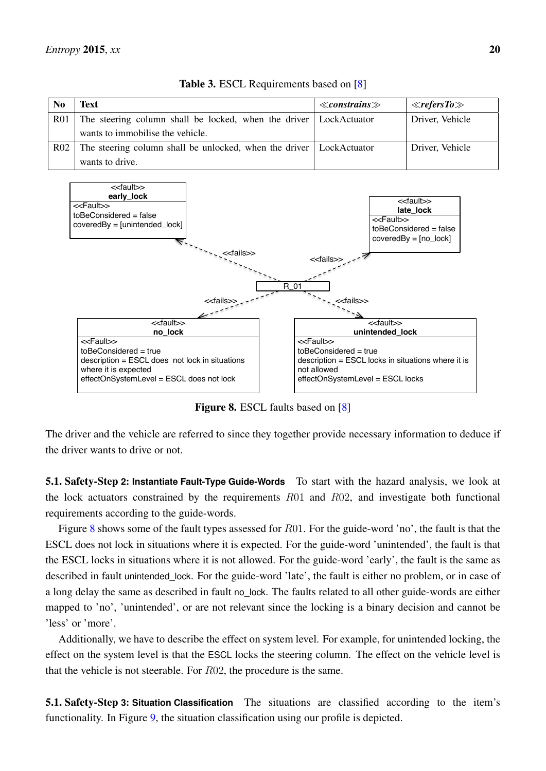<span id="page-19-0"></span>

| N <sub>0</sub> | Text                                                                  | $\ll$ constrains $\gg$ | $\ll$ refersTo $\gg$ |
|----------------|-----------------------------------------------------------------------|------------------------|----------------------|
| R01            | The steering column shall be locked, when the driver   LockActuator   |                        | Driver, Vehicle      |
|                | wants to immobilise the vehicle.                                      |                        |                      |
| $R_{02}$       | The steering column shall be unlocked, when the driver   LockActuator |                        | Driver, Vehicle      |
|                | wants to drive.                                                       |                        |                      |

Table 3. ESCL Requirements based on [\[8\]](#page-37-7)

<span id="page-19-1"></span>

Figure 8. ESCL faults based on [\[8\]](#page-37-7)

The driver and the vehicle are referred to since they together provide necessary information to deduce if the driver wants to drive or not.

5.1. Safety-Step **2: Instantiate Fault-Type Guide-Words** To start with the hazard analysis, we look at the lock actuators constrained by the requirements  $R<sub>01</sub>$  and  $R<sub>02</sub>$ , and investigate both functional requirements according to the guide-words.

Figure [8](#page-19-1) shows some of the fault types assessed for R01. For the guide-word 'no', the fault is that the ESCL does not lock in situations where it is expected. For the guide-word 'unintended', the fault is that the ESCL locks in situations where it is not allowed. For the guide-word 'early', the fault is the same as described in fault unintended\_lock. For the guide-word 'late', the fault is either no problem, or in case of a long delay the same as described in fault no lock. The faults related to all other guide-words are either mapped to 'no', 'unintended', or are not relevant since the locking is a binary decision and cannot be 'less' or 'more'.

Additionally, we have to describe the effect on system level. For example, for unintended locking, the effect on the system level is that the ESCL locks the steering column. The effect on the vehicle level is that the vehicle is not steerable. For  $R02$ , the procedure is the same.

5.1. Safety-Step **3: Situation Classification** The situations are classified according to the item's functionality. In Figure [9,](#page-20-0) the situation classification using our profile is depicted.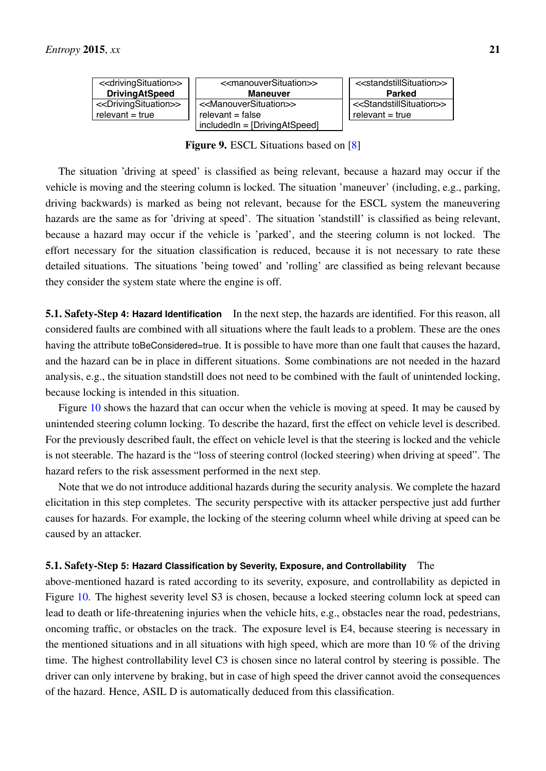<span id="page-20-0"></span>

| < <drivingsituation>&gt;</drivingsituation> | < <manouversituation>&gt;</manouversituation> | < <standstillsituation>&gt;</standstillsituation> |
|---------------------------------------------|-----------------------------------------------|---------------------------------------------------|
| <b>DrivingAtSpeed</b>                       | <b>Maneuver</b>                               | <b>Parked</b>                                     |
| < <drivingsituation>&gt;</drivingsituation> | < <manouversituation>&gt;</manouversituation> | < <standstillsituation>&gt;</standstillsituation> |
| $relevant = true$                           | $relevant = false$                            | relevant $=$ true                                 |
|                                             | $include all = [DivingAtSpeed]$               |                                                   |

Figure 9. ESCL Situations based on [\[8\]](#page-37-7)

The situation 'driving at speed' is classified as being relevant, because a hazard may occur if the vehicle is moving and the steering column is locked. The situation 'maneuver' (including, e.g., parking, driving backwards) is marked as being not relevant, because for the ESCL system the maneuvering hazards are the same as for 'driving at speed'. The situation 'standstill' is classified as being relevant, because a hazard may occur if the vehicle is 'parked', and the steering column is not locked. The effort necessary for the situation classification is reduced, because it is not necessary to rate these detailed situations. The situations 'being towed' and 'rolling' are classified as being relevant because they consider the system state where the engine is off.

**5.1. Safety-Step 4: Hazard Identification** In the next step, the hazards are identified. For this reason, all considered faults are combined with all situations where the fault leads to a problem. These are the ones having the attribute toBeConsidered=true. It is possible to have more than one fault that causes the hazard, and the hazard can be in place in different situations. Some combinations are not needed in the hazard analysis, e.g., the situation standstill does not need to be combined with the fault of unintended locking, because locking is intended in this situation.

Figure [10](#page-21-0) shows the hazard that can occur when the vehicle is moving at speed. It may be caused by unintended steering column locking. To describe the hazard, first the effect on vehicle level is described. For the previously described fault, the effect on vehicle level is that the steering is locked and the vehicle is not steerable. The hazard is the "loss of steering control (locked steering) when driving at speed". The hazard refers to the risk assessment performed in the next step.

Note that we do not introduce additional hazards during the security analysis. We complete the hazard elicitation in this step completes. The security perspective with its attacker perspective just add further causes for hazards. For example, the locking of the steering column wheel while driving at speed can be caused by an attacker.

## 5.1. Safety-Step **5: Hazard Classification by Severity, Exposure, and Controllability** The

above-mentioned hazard is rated according to its severity, exposure, and controllability as depicted in Figure [10.](#page-21-0) The highest severity level S3 is chosen, because a locked steering column lock at speed can lead to death or life-threatening injuries when the vehicle hits, e.g., obstacles near the road, pedestrians, oncoming traffic, or obstacles on the track. The exposure level is E4, because steering is necessary in the mentioned situations and in all situations with high speed, which are more than 10  $\%$  of the driving time. The highest controllability level C3 is chosen since no lateral control by steering is possible. The driver can only intervene by braking, but in case of high speed the driver cannot avoid the consequences of the hazard. Hence, ASIL D is automatically deduced from this classification.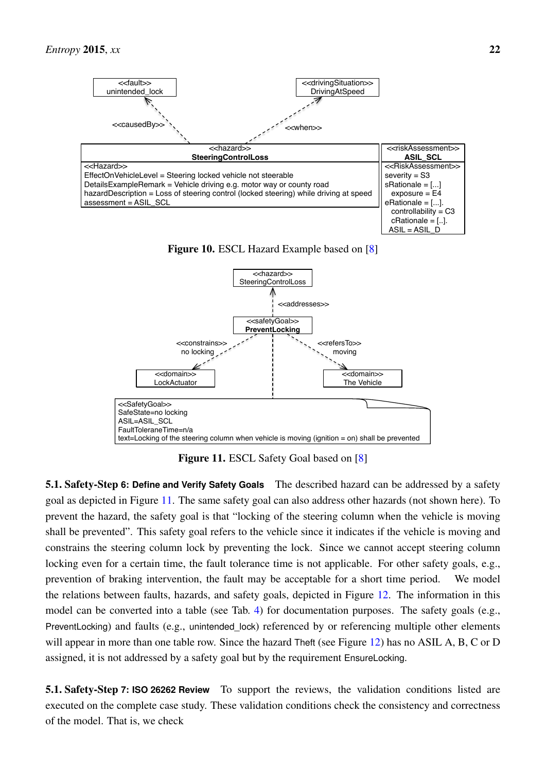<span id="page-21-0"></span>



<span id="page-21-1"></span>

Figure 11. ESCL Safety Goal based on [\[8\]](#page-37-7)

5.1. Safety-Step **6: Define and Verify Safety Goals** The described hazard can be addressed by a safety goal as depicted in Figure [11.](#page-21-1) The same safety goal can also address other hazards (not shown here). To prevent the hazard, the safety goal is that "locking of the steering column when the vehicle is moving shall be prevented". This safety goal refers to the vehicle since it indicates if the vehicle is moving and constrains the steering column lock by preventing the lock. Since we cannot accept steering column locking even for a certain time, the fault tolerance time is not applicable. For other safety goals, e.g., prevention of braking intervention, the fault may be acceptable for a short time period. We model the relations between faults, hazards, and safety goals, depicted in Figure [12.](#page-22-0) The information in this model can be converted into a table (see Tab. [4\)](#page-22-1) for documentation purposes. The safety goals (e.g., PreventLocking) and faults (e.g., unintended lock) referenced by or referencing multiple other elements will appear in more than one table row. Since the hazard Theft (see Figure [12\)](#page-22-0) has no ASIL A, B, C or D assigned, it is not addressed by a safety goal but by the requirement EnsureLocking.

5.1. Safety-Step **7: ISO 26262 Review** To support the reviews, the validation conditions listed are executed on the complete case study. These validation conditions check the consistency and correctness of the model. That is, we check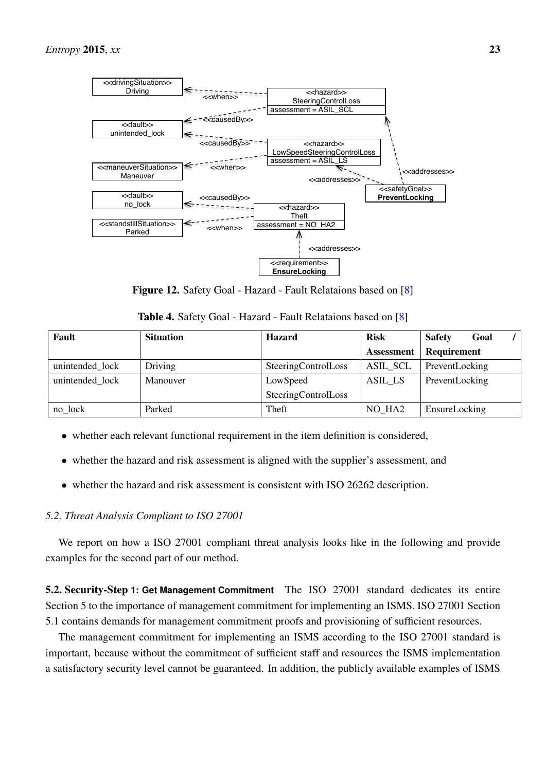<span id="page-22-0"></span>

Figure 12. Safety Goal - Hazard - Fault Relataions based on [\[8\]](#page-37-7)

<span id="page-22-1"></span>

| Fault           | <b>Situation</b> | <b>Hazard</b>       | <b>Risk</b>        | <b>Safety</b><br>Goal |
|-----------------|------------------|---------------------|--------------------|-----------------------|
|                 |                  |                     | <b>Assessment</b>  | Requirement           |
| unintended_lock | Driving          | SteeringControlLoss | <b>ASIL_SCL</b>    | PreventLocking        |
| unintended lock | Manouver         | LowSpeed            | <b>ASIL_LS</b>     | PreventLocking        |
|                 |                  | SteeringControlLoss |                    |                       |
| no lock         | Parked           | Theft               | NO HA <sub>2</sub> | EnsureLocking         |

|  |  | Table 4. Safety Goal - Hazard - Fault Relataions based on [8] |  |
|--|--|---------------------------------------------------------------|--|
|--|--|---------------------------------------------------------------|--|

- whether each relevant functional requirement in the item definition is considered,
- whether the hazard and risk assessment is aligned with the supplier's assessment, and
- whether the hazard and risk assessment is consistent with ISO 26262 description.

# *5.2. Threat Analysis Compliant to ISO 27001*

We report on how a ISO 27001 compliant threat analysis looks like in the following and provide examples for the second part of our method.

5.2. Security-Step **1: Get Management Commitment** The ISO 27001 standard dedicates its entire Section 5 to the importance of management commitment for implementing an ISMS. ISO 27001 Section 5.1 contains demands for management commitment proofs and provisioning of sufficient resources.

The management commitment for implementing an ISMS according to the ISO 27001 standard is important, because without the commitment of sufficient staff and resources the ISMS implementation a satisfactory security level cannot be guaranteed. In addition, the publicly available examples of ISMS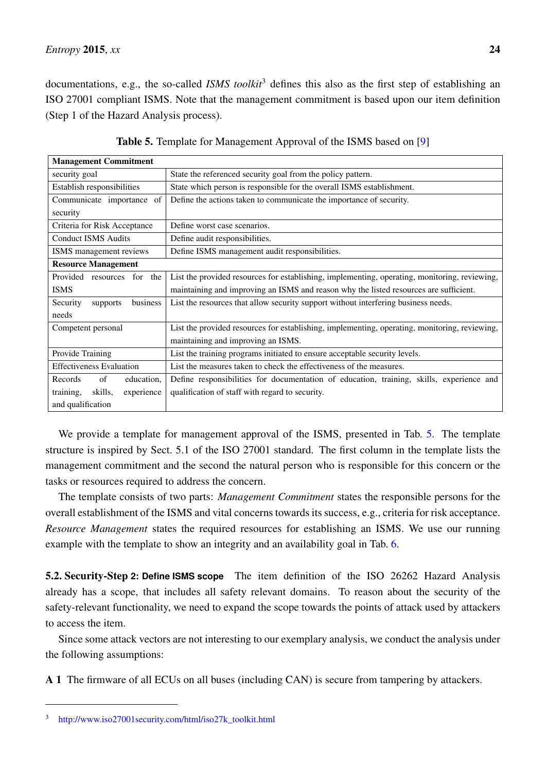documentations, e.g., the so-called *ISMS toolkit*<sup>3</sup> defines this also as the first step of establishing an ISO 27001 compliant ISMS. Note that the management commitment is based upon our item definition (Step 1 of the Hazard Analysis process).

<span id="page-23-0"></span>

| <b>Management Commitment</b>          |                                                                                               |
|---------------------------------------|-----------------------------------------------------------------------------------------------|
| security goal                         | State the referenced security goal from the policy pattern.                                   |
| Establish responsibilities            | State which person is responsible for the overall ISMS establishment.                         |
| Communicate importance of<br>security | Define the actions taken to communicate the importance of security.                           |
|                                       |                                                                                               |
| Criteria for Risk Acceptance          | Define worst case scenarios.                                                                  |
| <b>Conduct ISMS Audits</b>            | Define audit responsibilities.                                                                |
| ISMS management reviews               | Define ISMS management audit responsibilities.                                                |
| <b>Resource Management</b>            |                                                                                               |
| Provided resources for the            | List the provided resources for establishing, implementing, operating, monitoring, reviewing, |
| <b>ISMS</b>                           | maintaining and improving an ISMS and reason why the listed resources are sufficient.         |
| business<br>Security<br>supports      | List the resources that allow security support without interfering business needs.            |
| needs                                 |                                                                                               |
| Competent personal                    | List the provided resources for establishing, implementing, operating, monitoring, reviewing, |
|                                       | maintaining and improving an ISMS.                                                            |
| Provide Training                      | List the training programs initiated to ensure acceptable security levels.                    |
| <b>Effectiveness Evaluation</b>       | List the measures taken to check the effectiveness of the measures.                           |
| Records<br>of<br>education.           | Define responsibilities for documentation of education, training, skills, experience and      |
| training,<br>skills,<br>experience    | qualification of staff with regard to security.                                               |
| and qualification                     |                                                                                               |

|  |  | Table 5. Template for Management Approval of the ISMS based on [9] |  |  |
|--|--|--------------------------------------------------------------------|--|--|
|  |  |                                                                    |  |  |

We provide a template for management approval of the ISMS, presented in Tab. [5.](#page-23-0) The template structure is inspired by Sect. 5.1 of the ISO 27001 standard. The first column in the template lists the management commitment and the second the natural person who is responsible for this concern or the tasks or resources required to address the concern.

The template consists of two parts: *Management Commitment* states the responsible persons for the overall establishment of the ISMS and vital concerns towards its success, e.g., criteria for risk acceptance. *Resource Management* states the required resources for establishing an ISMS. We use our running example with the template to show an integrity and an availability goal in Tab. [6.](#page-24-0)

5.2. Security-Step **2: Define ISMS scope** The item definition of the ISO 26262 Hazard Analysis already has a scope, that includes all safety relevant domains. To reason about the security of the safety-relevant functionality, we need to expand the scope towards the points of attack used by attackers to access the item.

Since some attack vectors are not interesting to our exemplary analysis, we conduct the analysis under the following assumptions:

A 1 The firmware of all ECUs on all buses (including CAN) is secure from tampering by attackers.

<sup>3</sup> [http://www.iso27001security.com/html/iso27k\\_toolkit.html](http://www.iso27001security.com/html/iso27k_toolkit.html)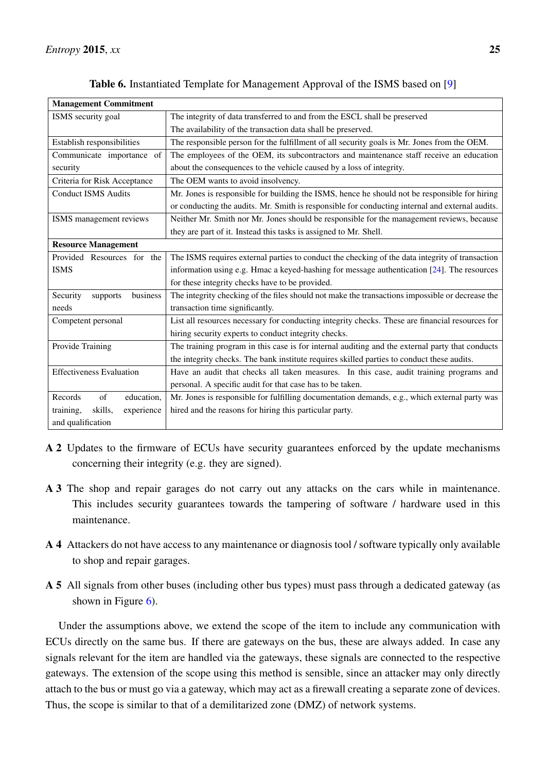<span id="page-24-0"></span>

| <b>Management Commitment</b>       |                                                                                                 |
|------------------------------------|-------------------------------------------------------------------------------------------------|
| ISMS security goal                 | The integrity of data transferred to and from the ESCL shall be preserved                       |
|                                    | The availability of the transaction data shall be preserved.                                    |
| Establish responsibilities         | The responsible person for the fulfillment of all security goals is Mr. Jones from the OEM.     |
| Communicate importance of          | The employees of the OEM, its subcontractors and maintenance staff receive an education         |
| security                           | about the consequences to the vehicle caused by a loss of integrity.                            |
| Criteria for Risk Acceptance       | The OEM wants to avoid insolvency.                                                              |
| <b>Conduct ISMS Audits</b>         | Mr. Jones is responsible for building the ISMS, hence he should not be responsible for hiring   |
|                                    | or conducting the audits. Mr. Smith is responsible for conducting internal and external audits. |
| ISMS management reviews            | Neither Mr. Smith nor Mr. Jones should be responsible for the management reviews, because       |
|                                    | they are part of it. Instead this tasks is assigned to Mr. Shell.                               |
| <b>Resource Management</b>         |                                                                                                 |
| Provided Resources for the         | The ISMS requires external parties to conduct the checking of the data integrity of transaction |
| <b>ISMS</b>                        | information using e.g. Hmac a keyed-hashing for message authentication $[24]$ . The resources   |
|                                    | for these integrity checks have to be provided.                                                 |
| Security<br>business<br>supports   | The integrity checking of the files should not make the transactions impossible or decrease the |
| needs                              | transaction time significantly.                                                                 |
| Competent personal                 | List all resources necessary for conducting integrity checks. These are financial resources for |
|                                    | hiring security experts to conduct integrity checks.                                            |
| Provide Training                   | The training program in this case is for internal auditing and the external party that conducts |
|                                    | the integrity checks. The bank institute requires skilled parties to conduct these audits.      |
| <b>Effectiveness Evaluation</b>    | Have an audit that checks all taken measures. In this case, audit training programs and         |
|                                    | personal. A specific audit for that case has to be taken.                                       |
| Records<br>of<br>education,        | Mr. Jones is responsible for fulfilling documentation demands, e.g., which external party was   |
| training,<br>experience<br>skills, | hired and the reasons for hiring this particular party.                                         |
| and qualification                  |                                                                                                 |

Table 6. Instantiated Template for Management Approval of the ISMS based on [\[9\]](#page-38-0)

- A 2 Updates to the firmware of ECUs have security guarantees enforced by the update mechanisms concerning their integrity (e.g. they are signed).
- A 3 The shop and repair garages do not carry out any attacks on the cars while in maintenance. This includes security guarantees towards the tampering of software / hardware used in this maintenance.
- A 4 Attackers do not have access to any maintenance or diagnosis tool / software typically only available to shop and repair garages.
- A 5 All signals from other buses (including other bus types) must pass through a dedicated gateway (as shown in Figure [6\)](#page-14-0).

Under the assumptions above, we extend the scope of the item to include any communication with ECUs directly on the same bus. If there are gateways on the bus, these are always added. In case any signals relevant for the item are handled via the gateways, these signals are connected to the respective gateways. The extension of the scope using this method is sensible, since an attacker may only directly attach to the bus or must go via a gateway, which may act as a firewall creating a separate zone of devices. Thus, the scope is similar to that of a demilitarized zone (DMZ) of network systems.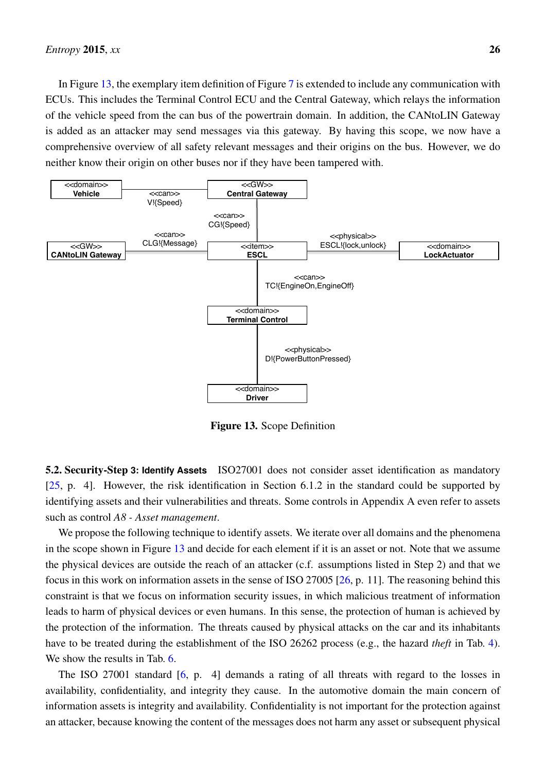In Figure [13,](#page-25-0) the exemplary item definition of Figure [7](#page-18-0) is extended to include any communication with ECUs. This includes the Terminal Control ECU and the Central Gateway, which relays the information of the vehicle speed from the can bus of the powertrain domain. In addition, the CANtoLIN Gateway is added as an attacker may send messages via this gateway. By having this scope, we now have a comprehensive overview of all safety relevant messages and their origins on the bus. However, we do neither know their origin on other buses nor if they have been tampered with.

<span id="page-25-0"></span>

Figure 13. Scope Definition

5.2. Security-Step **3: Identify Assets** ISO27001 does not consider asset identification as mandatory [\[25,](#page-38-16) p. 4]. However, the risk identification in Section 6.1.2 in the standard could be supported by identifying assets and their vulnerabilities and threats. Some controls in Appendix A even refer to assets such as control *A8 - Asset management*.

We propose the following technique to identify assets. We iterate over all domains and the phenomena in the scope shown in Figure [13](#page-25-0) and decide for each element if it is an asset or not. Note that we assume the physical devices are outside the reach of an attacker (c.f. assumptions listed in Step 2) and that we focus in this work on information assets in the sense of ISO 27005 [\[26,](#page-38-17) p. 11]. The reasoning behind this constraint is that we focus on information security issues, in which malicious treatment of information leads to harm of physical devices or even humans. In this sense, the protection of human is achieved by the protection of the information. The threats caused by physical attacks on the car and its inhabitants have to be treated during the establishment of the ISO 26262 process (e.g., the hazard *theft* in Tab. [4\)](#page-22-1). We show the results in Tab. [6.](#page-24-0)

The ISO 27001 standard [\[6,](#page-37-5) p. 4] demands a rating of all threats with regard to the losses in availability, confidentiality, and integrity they cause. In the automotive domain the main concern of information assets is integrity and availability. Confidentiality is not important for the protection against an attacker, because knowing the content of the messages does not harm any asset or subsequent physical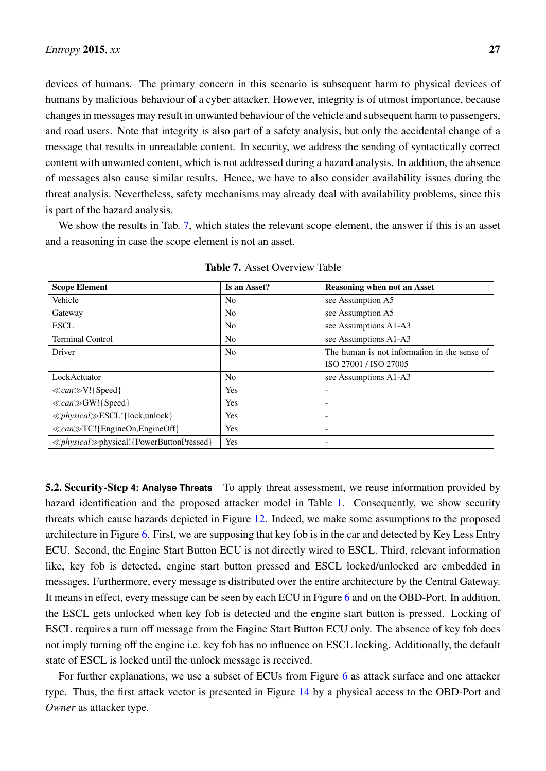devices of humans. The primary concern in this scenario is subsequent harm to physical devices of humans by malicious behaviour of a cyber attacker. However, integrity is of utmost importance, because changes in messages may result in unwanted behaviour of the vehicle and subsequent harm to passengers, and road users. Note that integrity is also part of a safety analysis, but only the accidental change of a message that results in unreadable content. In security, we address the sending of syntactically correct content with unwanted content, which is not addressed during a hazard analysis. In addition, the absence of messages also cause similar results. Hence, we have to also consider availability issues during the threat analysis. Nevertheless, safety mechanisms may already deal with availability problems, since this is part of the hazard analysis.

We show the results in Tab. [7,](#page-26-0) which states the relevant scope element, the answer if this is an asset and a reasoning in case the scope element is not an asset.

<span id="page-26-0"></span>

| <b>Scope Element</b>                              | Is an Asset?   | <b>Reasoning when not an Asset</b>           |
|---------------------------------------------------|----------------|----------------------------------------------|
| Vehicle                                           | N <sub>0</sub> | see Assumption A5                            |
| Gateway                                           | N <sub>o</sub> | see Assumption A5                            |
| <b>ESCL</b>                                       | N <sub>o</sub> | see Assumptions A1-A3                        |
| <b>Terminal Control</b>                           | N <sub>o</sub> | see Assumptions A1-A3                        |
| Driver                                            | N <sub>0</sub> | The human is not information in the sense of |
|                                                   |                | ISO 27001 / ISO 27005                        |
| LockActuator                                      | N <sub>o</sub> | see Assumptions A1-A3                        |
| $\ll can \gg V!$ Speed }                          | Yes            |                                              |
| $\ll can \gg GW$ ! {Speed}                        | Yes            |                                              |
| ≪physical≫ESCL!{lock,unlock}                      | Yes            |                                              |
| $\ll can \gg TC!$ {EngineOn,EngineOff}            | Yes            |                                              |
| $\ll physical \gg physical!$ {PowerButtonPressed} | Yes            |                                              |

Table 7. Asset Overview Table

5.2. Security-Step **4: Analyse Threats** To apply threat assessment, we reuse information provided by hazard identification and the proposed attacker model in Table [1.](#page-15-0) Consequently, we show security threats which cause hazards depicted in Figure [12.](#page-22-0) Indeed, we make some assumptions to the proposed architecture in Figure [6.](#page-14-0) First, we are supposing that key fob is in the car and detected by Key Less Entry ECU. Second, the Engine Start Button ECU is not directly wired to ESCL. Third, relevant information like, key fob is detected, engine start button pressed and ESCL locked/unlocked are embedded in messages. Furthermore, every message is distributed over the entire architecture by the Central Gateway. It means in effect, every message can be seen by each ECU in Figure [6](#page-14-0) and on the OBD-Port. In addition, the ESCL gets unlocked when key fob is detected and the engine start button is pressed. Locking of ESCL requires a turn off message from the Engine Start Button ECU only. The absence of key fob does not imply turning off the engine i.e. key fob has no influence on ESCL locking. Additionally, the default state of ESCL is locked until the unlock message is received.

For further explanations, we use a subset of ECUs from Figure [6](#page-14-0) as attack surface and one attacker type. Thus, the first attack vector is presented in Figure [14](#page-27-0) by a physical access to the OBD-Port and *Owner* as attacker type.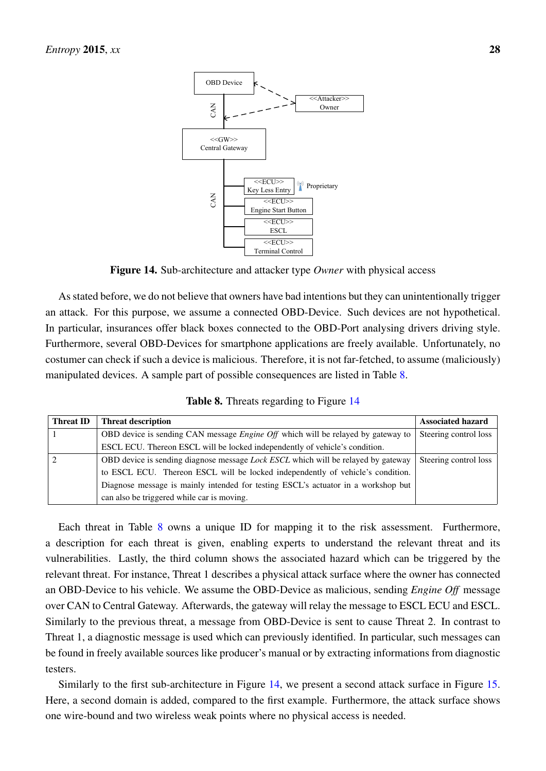<span id="page-27-0"></span>

Figure 14. Sub-architecture and attacker type *Owner* with physical access

As stated before, we do not believe that owners have bad intentions but they can unintentionally trigger an attack. For this purpose, we assume a connected OBD-Device. Such devices are not hypothetical. In particular, insurances offer black boxes connected to the OBD-Port analysing drivers driving style. Furthermore, several OBD-Devices for smartphone applications are freely available. Unfortunately, no costumer can check if such a device is malicious. Therefore, it is not far-fetched, to assume (maliciously) manipulated devices. A sample part of possible consequences are listed in Table [8.](#page-27-1)

|  |  | <b>Table 8.</b> Threats regarding to Figure 14 |  |  |
|--|--|------------------------------------------------|--|--|
|--|--|------------------------------------------------|--|--|

<span id="page-27-1"></span>

| <b>Threat ID</b> | <b>Threat description</b>                                                                | <b>Associated hazard</b> |
|------------------|------------------------------------------------------------------------------------------|--------------------------|
|                  | OBD device is sending CAN message <i>Engine Off</i> which will be relayed by gateway to  | Steering control loss    |
|                  | ESCL ECU. Thereon ESCL will be locked independently of vehicle's condition.              |                          |
|                  | OBD device is sending diagnose message <i>Lock ESCL</i> which will be relayed by gateway | Steering control loss    |
|                  | to ESCL ECU. Thereon ESCL will be locked independently of vehicle's condition.           |                          |
|                  | Diagnose message is mainly intended for testing ESCL's actuator in a workshop but        |                          |
|                  | can also be triggered while car is moving.                                               |                          |

Each threat in Table [8](#page-27-1) owns a unique ID for mapping it to the risk assessment. Furthermore, a description for each threat is given, enabling experts to understand the relevant threat and its vulnerabilities. Lastly, the third column shows the associated hazard which can be triggered by the relevant threat. For instance, Threat 1 describes a physical attack surface where the owner has connected an OBD-Device to his vehicle. We assume the OBD-Device as malicious, sending *Engine Off* message over CAN to Central Gateway. Afterwards, the gateway will relay the message to ESCL ECU and ESCL. Similarly to the previous threat, a message from OBD-Device is sent to cause Threat 2. In contrast to Threat 1, a diagnostic message is used which can previously identified. In particular, such messages can be found in freely available sources like producer's manual or by extracting informations from diagnostic testers.

Similarly to the first sub-architecture in Figure [14,](#page-27-0) we present a second attack surface in Figure [15.](#page-28-0) Here, a second domain is added, compared to the first example. Furthermore, the attack surface shows one wire-bound and two wireless weak points where no physical access is needed.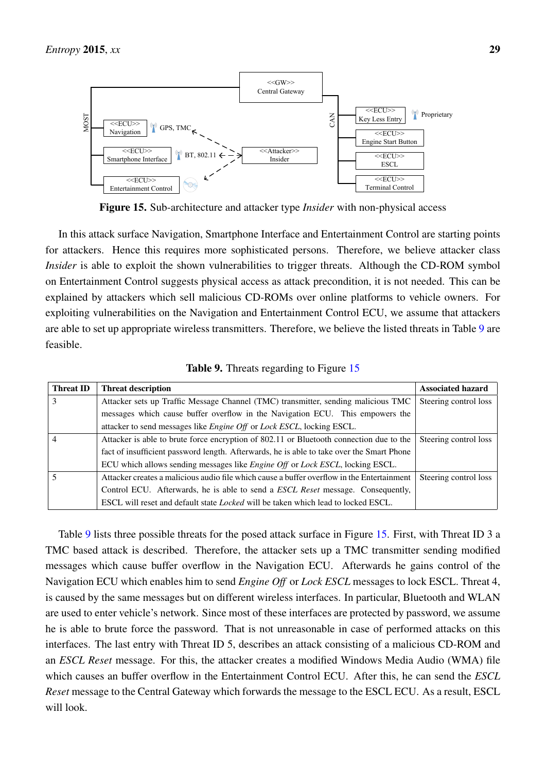<span id="page-28-0"></span>

Figure 15. Sub-architecture and attacker type *Insider* with non-physical access

In this attack surface Navigation, Smartphone Interface and Entertainment Control are starting points for attackers. Hence this requires more sophisticated persons. Therefore, we believe attacker class *Insider* is able to exploit the shown vulnerabilities to trigger threats. Although the CD-ROM symbol on Entertainment Control suggests physical access as attack precondition, it is not needed. This can be explained by attackers which sell malicious CD-ROMs over online platforms to vehicle owners. For exploiting vulnerabilities on the Navigation and Entertainment Control ECU, we assume that attackers are able to set up appropriate wireless transmitters. Therefore, we believe the listed threats in Table [9](#page-28-1) are feasible.

<span id="page-28-1"></span>

| Threat ID      | <b>Threat description</b>                                                                    | <b>Associated hazard</b> |
|----------------|----------------------------------------------------------------------------------------------|--------------------------|
| 3              | Attacker sets up Traffic Message Channel (TMC) transmitter, sending malicious TMC            | Steering control loss    |
|                | messages which cause buffer overflow in the Navigation ECU. This empowers the                |                          |
|                | attacker to send messages like <i>Engine Off</i> or <i>Lock ESCL</i> , locking ESCL.         |                          |
| $\overline{4}$ | Attacker is able to brute force encryption of 802.11 or Bluetooth connection due to the      | Steering control loss    |
|                | fact of insufficient password length. Afterwards, he is able to take over the Smart Phone    |                          |
|                | ECU which allows sending messages like <i>Engine Off</i> or <i>Lock ESCL</i> , locking ESCL. |                          |
|                | Attacker creates a malicious audio file which cause a buffer overflow in the Entertainment   | Steering control loss    |
|                | Control ECU. Afterwards, he is able to send a <i>ESCL Reset</i> message. Consequently,       |                          |
|                | ESCL will reset and default state <i>Locked</i> will be taken which lead to locked ESCL.     |                          |

|  |  | <b>Table 9.</b> Threats regarding to Figure 15 |  |  |
|--|--|------------------------------------------------|--|--|
|--|--|------------------------------------------------|--|--|

Table [9](#page-28-1) lists three possible threats for the posed attack surface in Figure [15.](#page-28-0) First, with Threat ID 3 a TMC based attack is described. Therefore, the attacker sets up a TMC transmitter sending modified messages which cause buffer overflow in the Navigation ECU. Afterwards he gains control of the Navigation ECU which enables him to send *Engine Off* or *Lock ESCL* messages to lock ESCL. Threat 4, is caused by the same messages but on different wireless interfaces. In particular, Bluetooth and WLAN are used to enter vehicle's network. Since most of these interfaces are protected by password, we assume he is able to brute force the password. That is not unreasonable in case of performed attacks on this interfaces. The last entry with Threat ID 5, describes an attack consisting of a malicious CD-ROM and an *ESCL Reset* message. For this, the attacker creates a modified Windows Media Audio (WMA) file which causes an buffer overflow in the Entertainment Control ECU. After this, he can send the *ESCL Reset* message to the Central Gateway which forwards the message to the ESCL ECU. As a result, ESCL will look.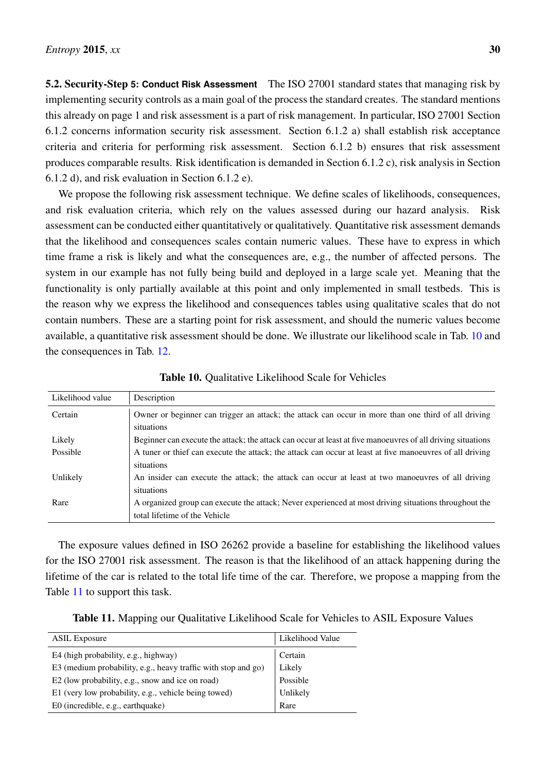5.2. Security-Step **5: Conduct Risk Assessment** The ISO 27001 standard states that managing risk by implementing security controls as a main goal of the process the standard creates. The standard mentions this already on page 1 and risk assessment is a part of risk management. In particular, ISO 27001 Section 6.1.2 concerns information security risk assessment. Section 6.1.2 a) shall establish risk acceptance criteria and criteria for performing risk assessment. Section 6.1.2 b) ensures that risk assessment produces comparable results. Risk identification is demanded in Section 6.1.2 c), risk analysis in Section 6.1.2 d), and risk evaluation in Section 6.1.2 e).

We propose the following risk assessment technique. We define scales of likelihoods, consequences, and risk evaluation criteria, which rely on the values assessed during our hazard analysis. Risk assessment can be conducted either quantitatively or qualitatively. Quantitative risk assessment demands that the likelihood and consequences scales contain numeric values. These have to express in which time frame a risk is likely and what the consequences are, e.g., the number of affected persons. The system in our example has not fully being build and deployed in a large scale yet. Meaning that the functionality is only partially available at this point and only implemented in small testbeds. This is the reason why we express the likelihood and consequences tables using qualitative scales that do not contain numbers. These are a starting point for risk assessment, and should the numeric values become available, a quantitative risk assessment should be done. We illustrate our likelihood scale in Tab. [10](#page-29-0) and the consequences in Tab. [12.](#page-30-0)

<span id="page-29-0"></span>

| Likelihood value | Description                                                                                                                            |
|------------------|----------------------------------------------------------------------------------------------------------------------------------------|
| Certain          | Owner or beginner can trigger an attack; the attack can occur in more than one third of all driving<br>situations                      |
| Likely           | Beginner can execute the attack; the attack can occur at least at five manoeuvres of all driving situations                            |
| Possible         | A tuner or thief can execute the attack; the attack can occur at least at five manoeuvres of all driving<br>situations                 |
| Unlikely         | An insider can execute the attack; the attack can occur at least at two manoeuvres of all driving<br>situations                        |
| Rare             | A organized group can execute the attack; Never experienced at most driving situations throughout the<br>total lifetime of the Vehicle |

Table 10. Qualitative Likelihood Scale for Vehicles

The exposure values defined in ISO 26262 provide a baseline for establishing the likelihood values for the ISO 27001 risk assessment. The reason is that the likelihood of an attack happening during the lifetime of the car is related to the total life time of the car. Therefore, we propose a mapping from the Table [11](#page-29-1) to support this task.

Table 11. Mapping our Qualitative Likelihood Scale for Vehicles to ASIL Exposure Values

<span id="page-29-1"></span>

| <b>ASIL Exposure</b>                                          | Likelihood Value |
|---------------------------------------------------------------|------------------|
| E4 (high probability, e.g., highway)                          | Certain          |
| E3 (medium probability, e.g., heavy traffic with stop and go) | Likely           |
| E2 (low probability, e.g., snow and ice on road)              | Possible         |
| E1 (very low probability, e.g., vehicle being towed)          | Unlikely         |
| E0 (incredible, e.g., earthquake)                             | Rare             |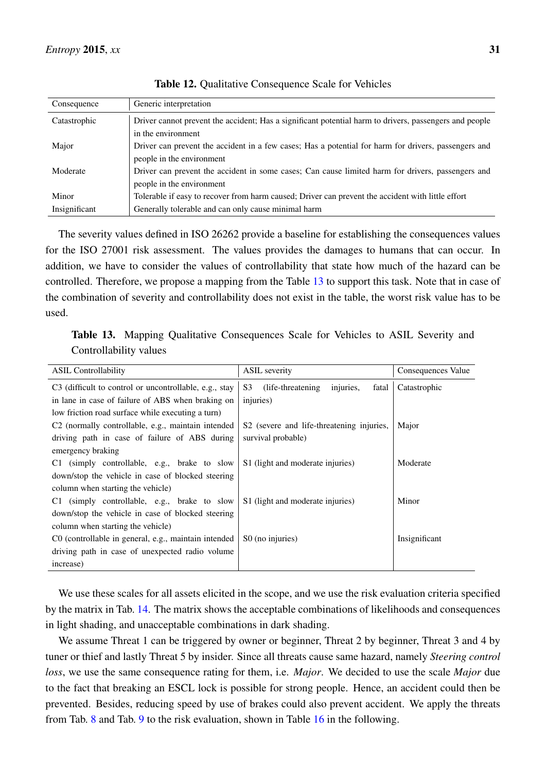<span id="page-30-0"></span>

| Consequence   | Generic interpretation                                                                                 |
|---------------|--------------------------------------------------------------------------------------------------------|
| Catastrophic  | Driver cannot prevent the accident; Has a significant potential harm to drivers, passengers and people |
|               | in the environment                                                                                     |
| Major         | Driver can prevent the accident in a few cases; Has a potential for harm for drivers, passengers and   |
|               | people in the environment                                                                              |
| Moderate      | Driver can prevent the accident in some cases; Can cause limited harm for drivers, passengers and      |
|               | people in the environment                                                                              |
| Minor         | Tolerable if easy to recover from harm caused; Driver can prevent the accident with little effort      |
| Insignificant | Generally tolerable and can only cause minimal harm                                                    |

Table 12. Qualitative Consequence Scale for Vehicles

The severity values defined in ISO 26262 provide a baseline for establishing the consequences values for the ISO 27001 risk assessment. The values provides the damages to humans that can occur. In addition, we have to consider the values of controllability that state how much of the hazard can be controlled. Therefore, we propose a mapping from the Table [13](#page-30-1) to support this task. Note that in case of the combination of severity and controllability does not exist in the table, the worst risk value has to be used.

<span id="page-30-1"></span>Table 13. Mapping Qualitative Consequences Scale for Vehicles to ASIL Severity and Controllability values

| <b>ASIL Controllability</b>                                    | <b>ASIL</b> severity                                       | Consequences Value |
|----------------------------------------------------------------|------------------------------------------------------------|--------------------|
| C3 (difficult to control or uncontrollable, e.g., stay         | injuries,<br>S <sub>3</sub><br>(life-threatening)<br>fatal | Catastrophic       |
| in lane in case of failure of ABS when braking on              | injuries)                                                  |                    |
| low friction road surface while executing a turn)              |                                                            |                    |
| C <sub>2</sub> (normally controllable, e.g., maintain intended | S <sub>2</sub> (severe and life-threatening injuries,      | Major              |
| driving path in case of failure of ABS during                  | survival probable)                                         |                    |
| emergency braking                                              |                                                            |                    |
| C1 (simply controllable, e.g., brake to slow                   | S1 (light and moderate injuries)                           | Moderate           |
| down/stop the vehicle in case of blocked steering              |                                                            |                    |
| column when starting the vehicle)                              |                                                            |                    |
| C1 (simply controllable, e.g., brake to slow                   | S1 (light and moderate injuries)                           | Minor              |
| down/stop the vehicle in case of blocked steering              |                                                            |                    |
| column when starting the vehicle)                              |                                                            |                    |
| C0 (controllable in general, e.g., maintain intended           | S0 (no injuries)                                           | Insignificant      |
| driving path in case of unexpected radio volume                |                                                            |                    |
| increase)                                                      |                                                            |                    |

We use these scales for all assets elicited in the scope, and we use the risk evaluation criteria specified by the matrix in Tab. [14.](#page-31-0) The matrix shows the acceptable combinations of likelihoods and consequences in light shading, and unacceptable combinations in dark shading.

We assume Threat 1 can be triggered by owner or beginner, Threat 2 by beginner, Threat 3 and 4 by tuner or thief and lastly Threat 5 by insider. Since all threats cause same hazard, namely *Steering control loss*, we use the same consequence rating for them, i.e. *Major*. We decided to use the scale *Major* due to the fact that breaking an ESCL lock is possible for strong people. Hence, an accident could then be prevented. Besides, reducing speed by use of brakes could also prevent accident. We apply the threats from Tab. [8](#page-27-1) and Tab. [9](#page-28-1) to the risk evaluation, shown in Table [16](#page-32-0) in the following.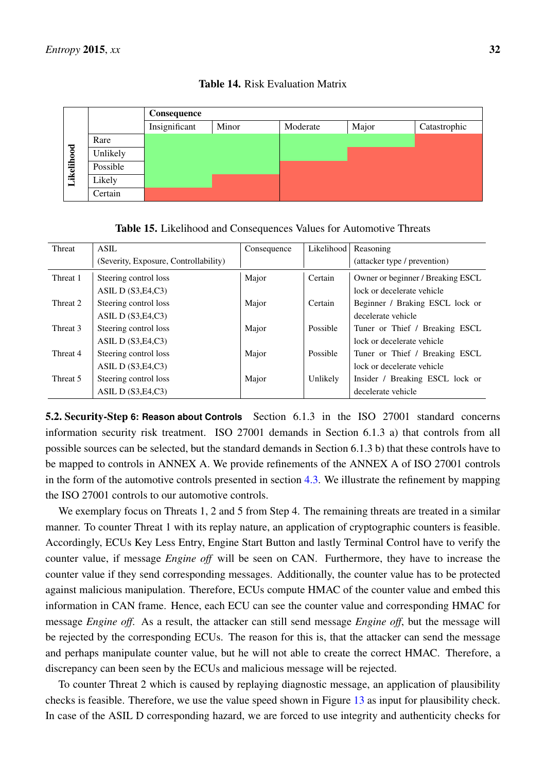<span id="page-31-0"></span>

|            |          | Consequence   |       |          |       |              |  |
|------------|----------|---------------|-------|----------|-------|--------------|--|
|            |          | Insignificant | Minor | Moderate | Major | Catastrophic |  |
|            | Rare     |               |       |          |       |              |  |
| Likelihood | Unlikely |               |       |          |       |              |  |
|            | Possible |               |       |          |       |              |  |
|            | Likely   |               |       |          |       |              |  |
|            | Certain  |               |       |          |       |              |  |

Table 14. Risk Evaluation Matrix

Table 15. Likelihood and Consequences Values for Automotive Threats

| Threat   | <b>ASIL</b>                           | Consequence | Likelihood | Reasoning                         |
|----------|---------------------------------------|-------------|------------|-----------------------------------|
|          | (Severity, Exposure, Controllability) |             |            | (attacker type / prevention)      |
| Threat 1 | Steering control loss                 | Major       | Certain    | Owner or beginner / Breaking ESCL |
|          | ASIL D $(S3, E4, C3)$                 |             |            | lock or decelerate vehicle        |
| Threat 2 | Steering control loss                 | Major       | Certain    | Beginner / Braking ESCL lock or   |
|          | ASIL D $(S3, E4, C3)$                 |             |            | decelerate vehicle                |
| Threat 3 | Steering control loss                 | Major       | Possible   | Tuner or Thief / Breaking ESCL    |
|          | ASIL D $(S3, E4, C3)$                 |             |            | lock or decelerate vehicle        |
| Threat 4 | Steering control loss                 | Major       | Possible   | Tuner or Thief / Breaking ESCL    |
|          | ASIL D $(S3, E4, C3)$                 |             |            | lock or decelerate vehicle        |
| Threat 5 | Steering control loss                 | Major       | Unlikely   | Insider / Breaking ESCL lock or   |
|          | ASIL D $(S3, E4, C3)$                 |             |            | decelerate vehicle                |

5.2. Security-Step **6: Reason about Controls** Section 6.1.3 in the ISO 27001 standard concerns information security risk treatment. ISO 27001 demands in Section 6.1.3 a) that controls from all possible sources can be selected, but the standard demands in Section 6.1.3 b) that these controls have to be mapped to controls in ANNEX A. We provide refinements of the ANNEX A of ISO 27001 controls in the form of the automotive controls presented in section [4.3.](#page-16-1) We illustrate the refinement by mapping the ISO 27001 controls to our automotive controls.

We exemplary focus on Threats 1, 2 and 5 from Step 4. The remaining threats are treated in a similar manner. To counter Threat 1 with its replay nature, an application of cryptographic counters is feasible. Accordingly, ECUs Key Less Entry, Engine Start Button and lastly Terminal Control have to verify the counter value, if message *Engine off* will be seen on CAN. Furthermore, they have to increase the counter value if they send corresponding messages. Additionally, the counter value has to be protected against malicious manipulation. Therefore, ECUs compute HMAC of the counter value and embed this information in CAN frame. Hence, each ECU can see the counter value and corresponding HMAC for message *Engine off*. As a result, the attacker can still send message *Engine off*, but the message will be rejected by the corresponding ECUs. The reason for this is, that the attacker can send the message and perhaps manipulate counter value, but he will not able to create the correct HMAC. Therefore, a discrepancy can been seen by the ECUs and malicious message will be rejected.

To counter Threat 2 which is caused by replaying diagnostic message, an application of plausibility checks is feasible. Therefore, we use the value speed shown in Figure [13](#page-25-0) as input for plausibility check. In case of the ASIL D corresponding hazard, we are forced to use integrity and authenticity checks for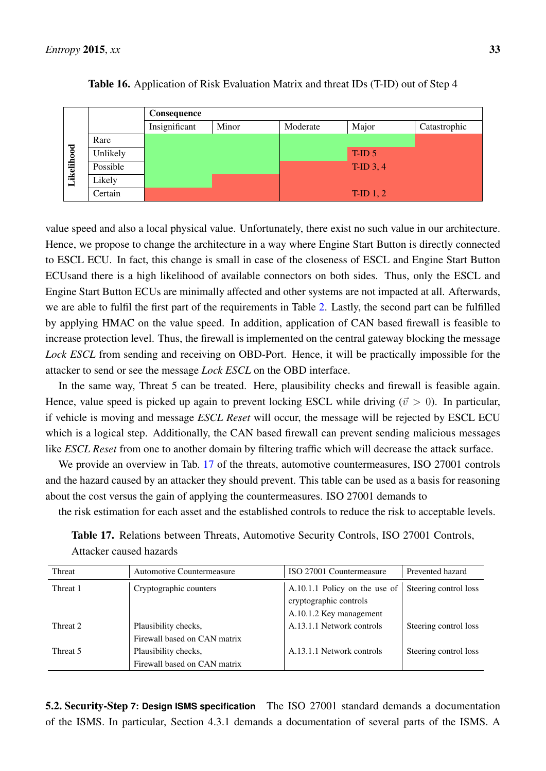<span id="page-32-0"></span>

|            |          | Consequence   |       |          |              |              |  |
|------------|----------|---------------|-------|----------|--------------|--------------|--|
|            |          | Insignificant | Minor | Moderate | Major        | Catastrophic |  |
|            | Rare     |               |       |          |              |              |  |
| Likelihood | Unlikely |               |       |          | $T$ -ID 5    |              |  |
|            | Possible |               |       |          | $T$ -ID 3, 4 |              |  |
|            | Likely   |               |       |          |              |              |  |
|            | Certain  |               |       |          | $T$ -ID 1, 2 |              |  |

Table 16. Application of Risk Evaluation Matrix and threat IDs (T-ID) out of Step 4

value speed and also a local physical value. Unfortunately, there exist no such value in our architecture. Hence, we propose to change the architecture in a way where Engine Start Button is directly connected to ESCL ECU. In fact, this change is small in case of the closeness of ESCL and Engine Start Button ECUsand there is a high likelihood of available connectors on both sides. Thus, only the ESCL and Engine Start Button ECUs are minimally affected and other systems are not impacted at all. Afterwards, we are able to fulfil the first part of the requirements in Table [2.](#page-16-0) Lastly, the second part can be fulfilled by applying HMAC on the value speed. In addition, application of CAN based firewall is feasible to increase protection level. Thus, the firewall is implemented on the central gateway blocking the message *Lock ESCL* from sending and receiving on OBD-Port. Hence, it will be practically impossible for the attacker to send or see the message *Lock ESCL* on the OBD interface.

In the same way, Threat 5 can be treated. Here, plausibility checks and firewall is feasible again. Hence, value speed is picked up again to prevent locking ESCL while driving ( $\vec{v} > 0$ ). In particular, if vehicle is moving and message *ESCL Reset* will occur, the message will be rejected by ESCL ECU which is a logical step. Additionally, the CAN based firewall can prevent sending malicious messages like *ESCL Reset* from one to another domain by filtering traffic which will decrease the attack surface.

We provide an overview in Tab. [17](#page-32-1) of the threats, automotive countermeasures, ISO 27001 controls and the hazard caused by an attacker they should prevent. This table can be used as a basis for reasoning about the cost versus the gain of applying the countermeasures. ISO 27001 demands to

<span id="page-32-1"></span>the risk estimation for each asset and the established controls to reduce the risk to acceptable levels.

| Threat   | <b>Automotive Countermeasure</b>                     | ISO 27001 Countermeasure                                        | Prevented hazard      |
|----------|------------------------------------------------------|-----------------------------------------------------------------|-----------------------|
| Threat 1 | Cryptographic counters                               | A.10.1.1 Policy on the use of $\vert$<br>cryptographic controls | Steering control loss |
| Threat 2 |                                                      | A.10.1.2 Key management<br>A.13.1.1 Network controls            |                       |
|          | Plausibility checks,<br>Firewall based on CAN matrix |                                                                 | Steering control loss |
| Threat 5 | Plausibility checks,                                 | A.13.1.1 Network controls                                       | Steering control loss |
|          | Firewall based on CAN matrix                         |                                                                 |                       |

Table 17. Relations between Threats, Automotive Security Controls, ISO 27001 Controls, Attacker caused hazards

5.2. Security-Step **7: Design ISMS specification** The ISO 27001 standard demands a documentation of the ISMS. In particular, Section 4.3.1 demands a documentation of several parts of the ISMS. A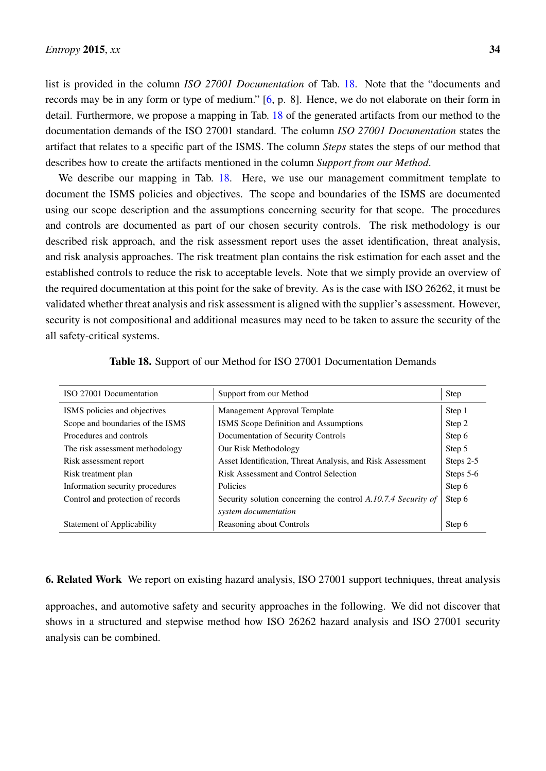list is provided in the column *ISO 27001 Documentation* of Tab. [18.](#page-33-0) Note that the "documents and records may be in any form or type of medium." [\[6,](#page-37-5) p. 8]. Hence, we do not elaborate on their form in detail. Furthermore, we propose a mapping in Tab. [18](#page-33-0) of the generated artifacts from our method to the documentation demands of the ISO 27001 standard. The column *ISO 27001 Documentation* states the artifact that relates to a specific part of the ISMS. The column *Steps* states the steps of our method that describes how to create the artifacts mentioned in the column *Support from our Method*.

We describe our mapping in Tab. [18.](#page-33-0) Here, we use our management commitment template to document the ISMS policies and objectives. The scope and boundaries of the ISMS are documented using our scope description and the assumptions concerning security for that scope. The procedures and controls are documented as part of our chosen security controls. The risk methodology is our described risk approach, and the risk assessment report uses the asset identification, threat analysis, and risk analysis approaches. The risk treatment plan contains the risk estimation for each asset and the established controls to reduce the risk to acceptable levels. Note that we simply provide an overview of the required documentation at this point for the sake of brevity. As is the case with ISO 26262, it must be validated whether threat analysis and risk assessment is aligned with the supplier's assessment. However, security is not compositional and additional measures may need to be taken to assure the security of the all safety-critical systems.

<span id="page-33-0"></span>

| ISO 27001 Documentation           | Support from our Method                                       | Step      |
|-----------------------------------|---------------------------------------------------------------|-----------|
| ISMS policies and objectives      | Management Approval Template                                  | Step 1    |
| Scope and boundaries of the ISMS  | ISMS Scope Definition and Assumptions                         | Step 2    |
| Procedures and controls           | Documentation of Security Controls                            | Step 6    |
| The risk assessment methodology   | Our Risk Methodology                                          | Step 5    |
| Risk assessment report            | Asset Identification, Threat Analysis, and Risk Assessment    | Steps 2-5 |
| Risk treatment plan               | Risk Assessment and Control Selection                         | Steps 5-6 |
| Information security procedures   | Policies                                                      | Step 6    |
| Control and protection of records | Security solution concerning the control A.10.7.4 Security of | Step 6    |
|                                   | system documentation                                          |           |
| <b>Statement of Applicability</b> | Reasoning about Controls                                      | Step 6    |

|  |  | Table 18. Support of our Method for ISO 27001 Documentation Demands |
|--|--|---------------------------------------------------------------------|
|--|--|---------------------------------------------------------------------|

6. Related Work We report on existing hazard analysis, ISO 27001 support techniques, threat analysis

approaches, and automotive safety and security approaches in the following. We did not discover that shows in a structured and stepwise method how ISO 26262 hazard analysis and ISO 27001 security analysis can be combined.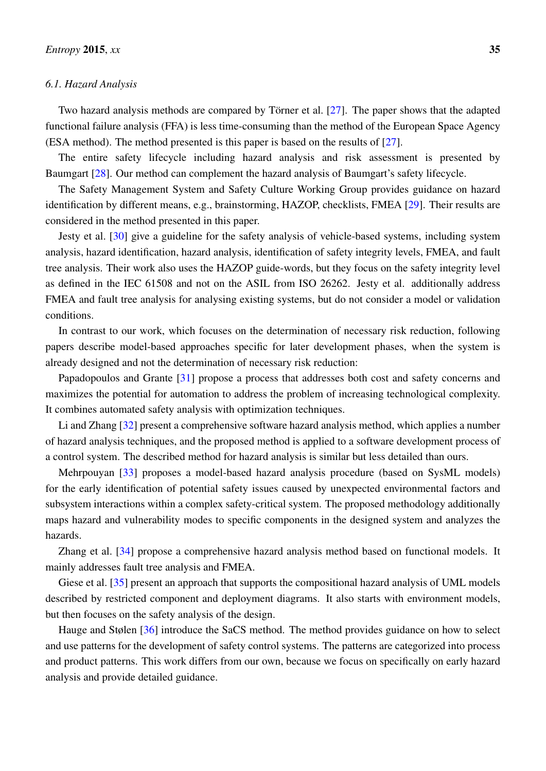#### *6.1. Hazard Analysis*

Two hazard analysis methods are compared by Törner et al. [\[27\]](#page-38-18). The paper shows that the adapted functional failure analysis (FFA) is less time-consuming than the method of the European Space Agency (ESA method). The method presented is this paper is based on the results of [\[27\]](#page-38-18).

The entire safety lifecycle including hazard analysis and risk assessment is presented by Baumgart [\[28\]](#page-38-19). Our method can complement the hazard analysis of Baumgart's safety lifecycle.

The Safety Management System and Safety Culture Working Group provides guidance on hazard identification by different means, e.g., brainstorming, HAZOP, checklists, FMEA [\[29\]](#page-38-20). Their results are considered in the method presented in this paper.

Jesty et al. [\[30\]](#page-39-0) give a guideline for the safety analysis of vehicle-based systems, including system analysis, hazard identification, hazard analysis, identification of safety integrity levels, FMEA, and fault tree analysis. Their work also uses the HAZOP guide-words, but they focus on the safety integrity level as defined in the IEC 61508 and not on the ASIL from ISO 26262. Jesty et al. additionally address FMEA and fault tree analysis for analysing existing systems, but do not consider a model or validation conditions.

In contrast to our work, which focuses on the determination of necessary risk reduction, following papers describe model-based approaches specific for later development phases, when the system is already designed and not the determination of necessary risk reduction:

Papadopoulos and Grante [\[31\]](#page-39-1) propose a process that addresses both cost and safety concerns and maximizes the potential for automation to address the problem of increasing technological complexity. It combines automated safety analysis with optimization techniques.

Li and Zhang [\[32\]](#page-39-2) present a comprehensive software hazard analysis method, which applies a number of hazard analysis techniques, and the proposed method is applied to a software development process of a control system. The described method for hazard analysis is similar but less detailed than ours.

Mehrpouyan [\[33\]](#page-39-3) proposes a model-based hazard analysis procedure (based on SysML models) for the early identification of potential safety issues caused by unexpected environmental factors and subsystem interactions within a complex safety-critical system. The proposed methodology additionally maps hazard and vulnerability modes to specific components in the designed system and analyzes the hazards.

Zhang et al. [\[34\]](#page-39-4) propose a comprehensive hazard analysis method based on functional models. It mainly addresses fault tree analysis and FMEA.

Giese et al. [\[35\]](#page-39-5) present an approach that supports the compositional hazard analysis of UML models described by restricted component and deployment diagrams. It also starts with environment models, but then focuses on the safety analysis of the design.

Hauge and Stølen [\[36\]](#page-39-6) introduce the SaCS method. The method provides guidance on how to select and use patterns for the development of safety control systems. The patterns are categorized into process and product patterns. This work differs from our own, because we focus on specifically on early hazard analysis and provide detailed guidance.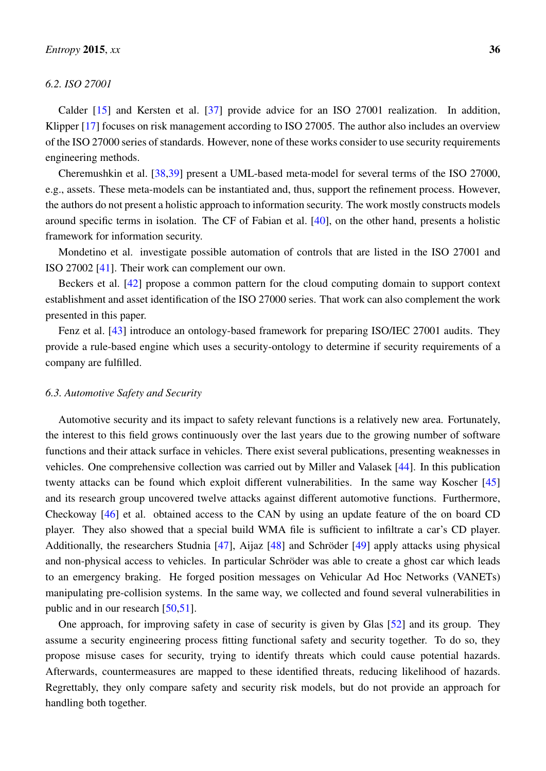## *6.2. ISO 27001*

Calder [\[15\]](#page-38-6) and Kersten et al. [\[37\]](#page-39-7) provide advice for an ISO 27001 realization. In addition, Klipper [\[17\]](#page-38-8) focuses on risk management according to ISO 27005. The author also includes an overview of the ISO 27000 series of standards. However, none of these works consider to use security requirements engineering methods.

Cheremushkin et al. [\[38,](#page-39-8)[39\]](#page-39-9) present a UML-based meta-model for several terms of the ISO 27000, e.g., assets. These meta-models can be instantiated and, thus, support the refinement process. However, the authors do not present a holistic approach to information security. The work mostly constructs models around specific terms in isolation. The CF of Fabian et al. [\[40\]](#page-39-10), on the other hand, presents a holistic framework for information security.

Mondetino et al. investigate possible automation of controls that are listed in the ISO 27001 and ISO 27002 [\[41\]](#page-39-11). Their work can complement our own.

Beckers et al. [\[42\]](#page-39-12) propose a common pattern for the cloud computing domain to support context establishment and asset identification of the ISO 27000 series. That work can also complement the work presented in this paper.

Fenz et al. [\[43\]](#page-40-0) introduce an ontology-based framework for preparing ISO/IEC 27001 audits. They provide a rule-based engine which uses a security-ontology to determine if security requirements of a company are fulfilled.

#### *6.3. Automotive Safety and Security*

Automotive security and its impact to safety relevant functions is a relatively new area. Fortunately, the interest to this field grows continuously over the last years due to the growing number of software functions and their attack surface in vehicles. There exist several publications, presenting weaknesses in vehicles. One comprehensive collection was carried out by Miller and Valasek [\[44\]](#page-40-1). In this publication twenty attacks can be found which exploit different vulnerabilities. In the same way Koscher [\[45\]](#page-40-2) and its research group uncovered twelve attacks against different automotive functions. Furthermore, Checkoway [\[46\]](#page-40-3) et al. obtained access to the CAN by using an update feature of the on board CD player. They also showed that a special build WMA file is sufficient to infiltrate a car's CD player. Additionally, the researchers Studnia [\[47\]](#page-40-4), Aijaz [\[48\]](#page-40-5) and Schröder [\[49\]](#page-40-6) apply attacks using physical and non-physical access to vehicles. In particular Schröder was able to create a ghost car which leads to an emergency braking. He forged position messages on Vehicular Ad Hoc Networks (VANETs) manipulating pre-collision systems. In the same way, we collected and found several vulnerabilities in public and in our research [\[50,](#page-40-7)[51\]](#page-40-8).

One approach, for improving safety in case of security is given by Glas [\[52\]](#page-40-9) and its group. They assume a security engineering process fitting functional safety and security together. To do so, they propose misuse cases for security, trying to identify threats which could cause potential hazards. Afterwards, countermeasures are mapped to these identified threats, reducing likelihood of hazards. Regrettably, they only compare safety and security risk models, but do not provide an approach for handling both together.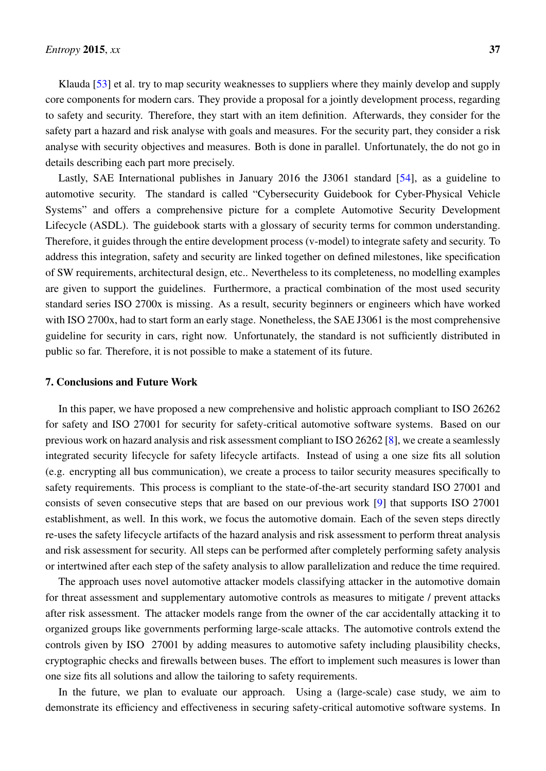Klauda [\[53\]](#page-40-10) et al. try to map security weaknesses to suppliers where they mainly develop and supply core components for modern cars. They provide a proposal for a jointly development process, regarding to safety and security. Therefore, they start with an item definition. Afterwards, they consider for the safety part a hazard and risk analyse with goals and measures. For the security part, they consider a risk analyse with security objectives and measures. Both is done in parallel. Unfortunately, the do not go in details describing each part more precisely.

Lastly, SAE International publishes in January 2016 the J3061 standard [\[54\]](#page-40-11), as a guideline to automotive security. The standard is called "Cybersecurity Guidebook for Cyber-Physical Vehicle Systems" and offers a comprehensive picture for a complete Automotive Security Development Lifecycle (ASDL). The guidebook starts with a glossary of security terms for common understanding. Therefore, it guides through the entire development process (v-model) to integrate safety and security. To address this integration, safety and security are linked together on defined milestones, like specification of SW requirements, architectural design, etc.. Nevertheless to its completeness, no modelling examples are given to support the guidelines. Furthermore, a practical combination of the most used security standard series ISO 2700x is missing. As a result, security beginners or engineers which have worked with ISO 2700x, had to start form an early stage. Nonetheless, the SAE J3061 is the most comprehensive guideline for security in cars, right now. Unfortunately, the standard is not sufficiently distributed in public so far. Therefore, it is not possible to make a statement of its future.

#### 7. Conclusions and Future Work

In this paper, we have proposed a new comprehensive and holistic approach compliant to ISO 26262 for safety and ISO 27001 for security for safety-critical automotive software systems. Based on our previous work on hazard analysis and risk assessment compliant to ISO 26262 [\[8\]](#page-37-7), we create a seamlessly integrated security lifecycle for safety lifecycle artifacts. Instead of using a one size fits all solution (e.g. encrypting all bus communication), we create a process to tailor security measures specifically to safety requirements. This process is compliant to the state-of-the-art security standard ISO 27001 and consists of seven consecutive steps that are based on our previous work [\[9\]](#page-38-0) that supports ISO 27001 establishment, as well. In this work, we focus the automotive domain. Each of the seven steps directly re-uses the safety lifecycle artifacts of the hazard analysis and risk assessment to perform threat analysis and risk assessment for security. All steps can be performed after completely performing safety analysis or intertwined after each step of the safety analysis to allow parallelization and reduce the time required.

The approach uses novel automotive attacker models classifying attacker in the automotive domain for threat assessment and supplementary automotive controls as measures to mitigate / prevent attacks after risk assessment. The attacker models range from the owner of the car accidentally attacking it to organized groups like governments performing large-scale attacks. The automotive controls extend the controls given by ISO 27001 by adding measures to automotive safety including plausibility checks, cryptographic checks and firewalls between buses. The effort to implement such measures is lower than one size fits all solutions and allow the tailoring to safety requirements.

In the future, we plan to evaluate our approach. Using a (large-scale) case study, we aim to demonstrate its efficiency and effectiveness in securing safety-critical automotive software systems. In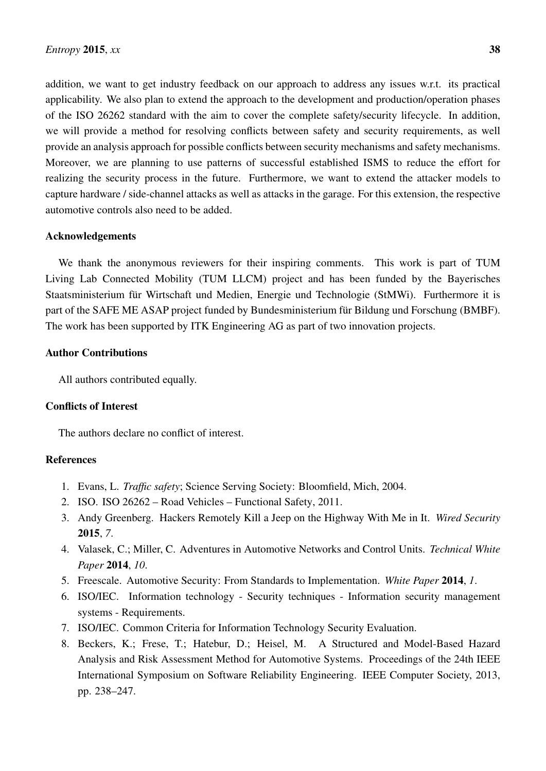addition, we want to get industry feedback on our approach to address any issues w.r.t. its practical applicability. We also plan to extend the approach to the development and production/operation phases of the ISO 26262 standard with the aim to cover the complete safety/security lifecycle. In addition, we will provide a method for resolving conflicts between safety and security requirements, as well provide an analysis approach for possible conflicts between security mechanisms and safety mechanisms. Moreover, we are planning to use patterns of successful established ISMS to reduce the effort for realizing the security process in the future. Furthermore, we want to extend the attacker models to capture hardware / side-channel attacks as well as attacks in the garage. For this extension, the respective automotive controls also need to be added.

# Acknowledgements

We thank the anonymous reviewers for their inspiring comments. This work is part of TUM Living Lab Connected Mobility (TUM LLCM) project and has been funded by the Bayerisches Staatsministerium für Wirtschaft und Medien, Energie und Technologie (StMWi). Furthermore it is part of the SAFE ME ASAP project funded by Bundesministerium für Bildung und Forschung (BMBF). The work has been supported by ITK Engineering AG as part of two innovation projects.

# Author Contributions

All authors contributed equally.

# Conflicts of Interest

The authors declare no conflict of interest.

# References

- <span id="page-37-0"></span>1. Evans, L. *Traffic safety*; Science Serving Society: Bloomfield, Mich, 2004.
- <span id="page-37-1"></span>2. ISO. ISO 26262 – Road Vehicles – Functional Safety, 2011.
- <span id="page-37-2"></span>3. Andy Greenberg. Hackers Remotely Kill a Jeep on the Highway With Me in It. *Wired Security* 2015, *7*.
- <span id="page-37-3"></span>4. Valasek, C.; Miller, C. Adventures in Automotive Networks and Control Units. *Technical White Paper* 2014, *10*.
- <span id="page-37-4"></span>5. Freescale. Automotive Security: From Standards to Implementation. *White Paper* 2014, *1*.
- <span id="page-37-5"></span>6. ISO/IEC. Information technology - Security techniques - Information security management systems - Requirements.
- <span id="page-37-6"></span>7. ISO/IEC. Common Criteria for Information Technology Security Evaluation.
- <span id="page-37-7"></span>8. Beckers, K.; Frese, T.; Hatebur, D.; Heisel, M. A Structured and Model-Based Hazard Analysis and Risk Assessment Method for Automotive Systems. Proceedings of the 24th IEEE International Symposium on Software Reliability Engineering. IEEE Computer Society, 2013, pp. 238–247.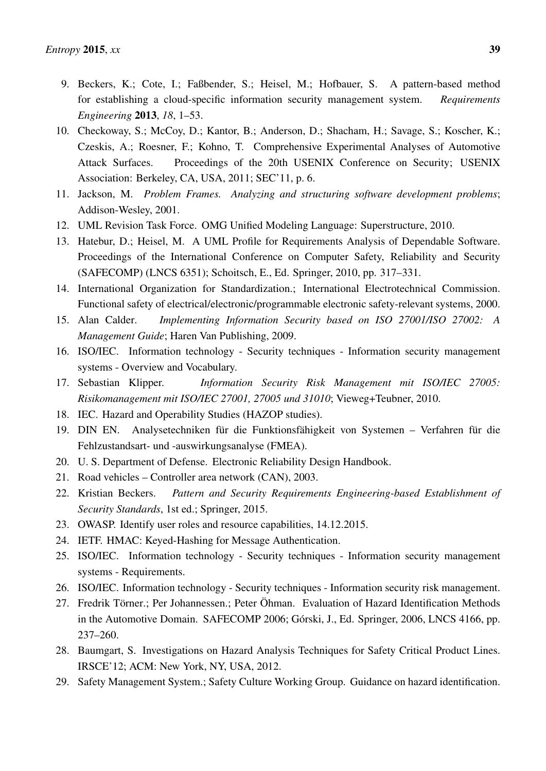- <span id="page-38-0"></span>9. Beckers, K.; Cote, I.; Faßbender, S.; Heisel, M.; Hofbauer, S. A pattern-based method for establishing a cloud-specific information security management system. *Requirements Engineering* 2013, *18*, 1–53.
- <span id="page-38-1"></span>10. Checkoway, S.; McCoy, D.; Kantor, B.; Anderson, D.; Shacham, H.; Savage, S.; Koscher, K.; Czeskis, A.; Roesner, F.; Kohno, T. Comprehensive Experimental Analyses of Automotive Attack Surfaces. Proceedings of the 20th USENIX Conference on Security; USENIX Association: Berkeley, CA, USA, 2011; SEC'11, p. 6.
- <span id="page-38-2"></span>11. Jackson, M. *Problem Frames. Analyzing and structuring software development problems*; Addison-Wesley, 2001.
- <span id="page-38-3"></span>12. UML Revision Task Force. OMG Unified Modeling Language: Superstructure, 2010.
- <span id="page-38-4"></span>13. Hatebur, D.; Heisel, M. A UML Profile for Requirements Analysis of Dependable Software. Proceedings of the International Conference on Computer Safety, Reliability and Security (SAFECOMP) (LNCS 6351); Schoitsch, E., Ed. Springer, 2010, pp. 317–331.
- <span id="page-38-5"></span>14. International Organization for Standardization.; International Electrotechnical Commission. Functional safety of electrical/electronic/programmable electronic safety-relevant systems, 2000.
- <span id="page-38-6"></span>15. Alan Calder. *Implementing Information Security based on ISO 27001/ISO 27002: A Management Guide*; Haren Van Publishing, 2009.
- <span id="page-38-7"></span>16. ISO/IEC. Information technology - Security techniques - Information security management systems - Overview and Vocabulary.
- <span id="page-38-8"></span>17. Sebastian Klipper. *Information Security Risk Management mit ISO/IEC 27005: Risikomanagement mit ISO/IEC 27001, 27005 und 31010*; Vieweg+Teubner, 2010.
- <span id="page-38-9"></span>18. IEC. Hazard and Operability Studies (HAZOP studies).
- <span id="page-38-10"></span>19. DIN EN. Analysetechniken für die Funktionsfähigkeit von Systemen – Verfahren für die Fehlzustandsart- und -auswirkungsanalyse (FMEA).
- <span id="page-38-11"></span>20. U. S. Department of Defense. Electronic Reliability Design Handbook.
- <span id="page-38-12"></span>21. Road vehicles – Controller area network (CAN), 2003.
- <span id="page-38-13"></span>22. Kristian Beckers. *Pattern and Security Requirements Engineering-based Establishment of Security Standards*, 1st ed.; Springer, 2015.
- <span id="page-38-14"></span>23. OWASP. Identify user roles and resource capabilities, 14.12.2015.
- <span id="page-38-15"></span>24. IETF. HMAC: Keyed-Hashing for Message Authentication.
- <span id="page-38-16"></span>25. ISO/IEC. Information technology - Security techniques - Information security management systems - Requirements.
- <span id="page-38-17"></span>26. ISO/IEC. Information technology - Security techniques - Information security risk management.
- <span id="page-38-18"></span>27. Fredrik Törner.; Per Johannessen.; Peter Öhman. Evaluation of Hazard Identification Methods in the Automotive Domain. SAFECOMP 2006; Górski, J., Ed. Springer, 2006, LNCS 4166, pp. 237–260.
- <span id="page-38-19"></span>28. Baumgart, S. Investigations on Hazard Analysis Techniques for Safety Critical Product Lines. IRSCE'12; ACM: New York, NY, USA, 2012.
- <span id="page-38-20"></span>29. Safety Management System.; Safety Culture Working Group. Guidance on hazard identification.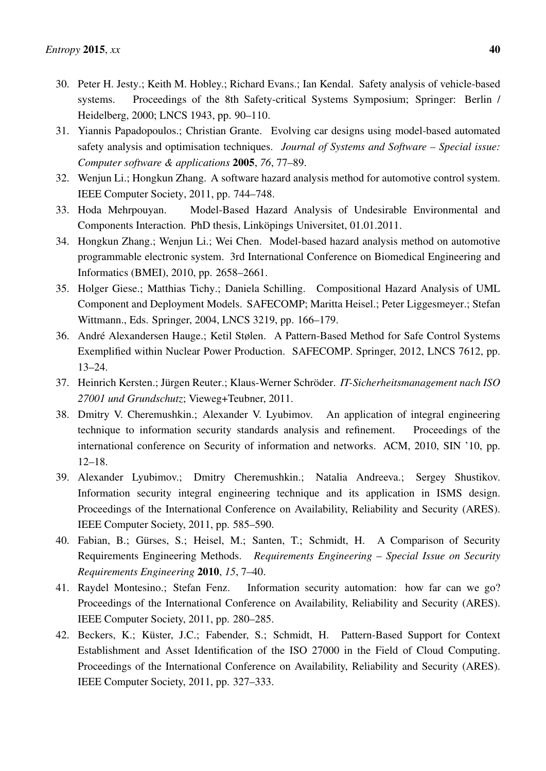- <span id="page-39-0"></span>30. Peter H. Jesty.; Keith M. Hobley.; Richard Evans.; Ian Kendal. Safety analysis of vehicle-based systems. Proceedings of the 8th Safety-critical Systems Symposium; Springer: Berlin / Heidelberg, 2000; LNCS 1943, pp. 90–110.
- <span id="page-39-1"></span>31. Yiannis Papadopoulos.; Christian Grante. Evolving car designs using model-based automated safety analysis and optimisation techniques. *Journal of Systems and Software – Special issue: Computer software & applications* 2005, *76*, 77–89.
- <span id="page-39-2"></span>32. Wenjun Li.; Hongkun Zhang. A software hazard analysis method for automotive control system. IEEE Computer Society, 2011, pp. 744–748.
- <span id="page-39-3"></span>33. Hoda Mehrpouyan. Model-Based Hazard Analysis of Undesirable Environmental and Components Interaction. PhD thesis, Linköpings Universitet, 01.01.2011.
- <span id="page-39-4"></span>34. Hongkun Zhang.; Wenjun Li.; Wei Chen. Model-based hazard analysis method on automotive programmable electronic system. 3rd International Conference on Biomedical Engineering and Informatics (BMEI), 2010, pp. 2658–2661.
- <span id="page-39-5"></span>35. Holger Giese.; Matthias Tichy.; Daniela Schilling. Compositional Hazard Analysis of UML Component and Deployment Models. SAFECOMP; Maritta Heisel.; Peter Liggesmeyer.; Stefan Wittmann., Eds. Springer, 2004, LNCS 3219, pp. 166–179.
- <span id="page-39-6"></span>36. André Alexandersen Hauge.; Ketil Stølen. A Pattern-Based Method for Safe Control Systems Exemplified within Nuclear Power Production. SAFECOMP. Springer, 2012, LNCS 7612, pp. 13–24.
- <span id="page-39-7"></span>37. Heinrich Kersten.; Jürgen Reuter.; Klaus-Werner Schröder. *IT-Sicherheitsmanagement nach ISO 27001 und Grundschutz*; Vieweg+Teubner, 2011.
- <span id="page-39-8"></span>38. Dmitry V. Cheremushkin.; Alexander V. Lyubimov. An application of integral engineering technique to information security standards analysis and refinement. Proceedings of the international conference on Security of information and networks. ACM, 2010, SIN '10, pp. 12–18.
- <span id="page-39-9"></span>39. Alexander Lyubimov.; Dmitry Cheremushkin.; Natalia Andreeva.; Sergey Shustikov. Information security integral engineering technique and its application in ISMS design. Proceedings of the International Conference on Availability, Reliability and Security (ARES). IEEE Computer Society, 2011, pp. 585–590.
- <span id="page-39-10"></span>40. Fabian, B.; Gürses, S.; Heisel, M.; Santen, T.; Schmidt, H. A Comparison of Security Requirements Engineering Methods. *Requirements Engineering – Special Issue on Security Requirements Engineering* 2010, *15*, 7–40.
- <span id="page-39-11"></span>41. Raydel Montesino.; Stefan Fenz. Information security automation: how far can we go? Proceedings of the International Conference on Availability, Reliability and Security (ARES). IEEE Computer Society, 2011, pp. 280–285.
- <span id="page-39-12"></span>42. Beckers, K.; Küster, J.C.; Fabender, S.; Schmidt, H. Pattern-Based Support for Context Establishment and Asset Identification of the ISO 27000 in the Field of Cloud Computing. Proceedings of the International Conference on Availability, Reliability and Security (ARES). IEEE Computer Society, 2011, pp. 327–333.